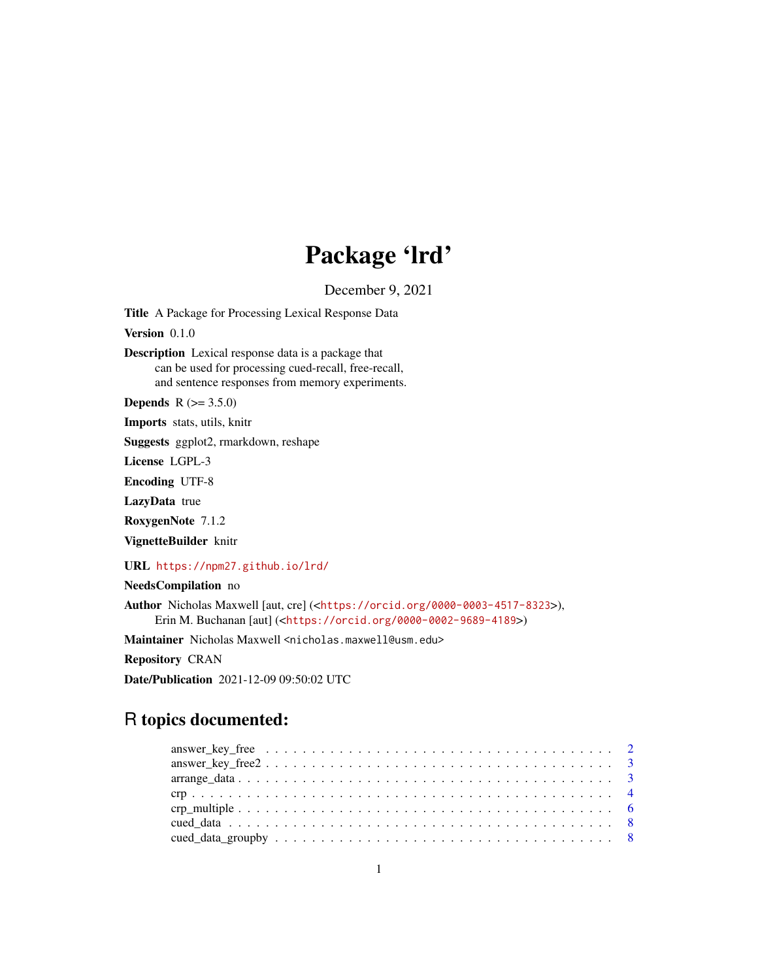# Package 'lrd'

December 9, 2021

Title A Package for Processing Lexical Response Data

Version 0.1.0

Description Lexical response data is a package that can be used for processing cued-recall, free-recall, and sentence responses from memory experiments.

**Depends**  $R (= 3.5.0)$ 

Imports stats, utils, knitr

Suggests ggplot2, rmarkdown, reshape

License LGPL-3

Encoding UTF-8

LazyData true

RoxygenNote 7.1.2

VignetteBuilder knitr

URL <https://npm27.github.io/lrd/>

NeedsCompilation no

Author Nicholas Maxwell [aut, cre] (<<https://orcid.org/0000-0003-4517-8323>>), Erin M. Buchanan [aut] (<<https://orcid.org/0000-0002-9689-4189>>)

Maintainer Nicholas Maxwell <nicholas.maxwell@usm.edu>

Repository CRAN

Date/Publication 2021-12-09 09:50:02 UTC

# R topics documented: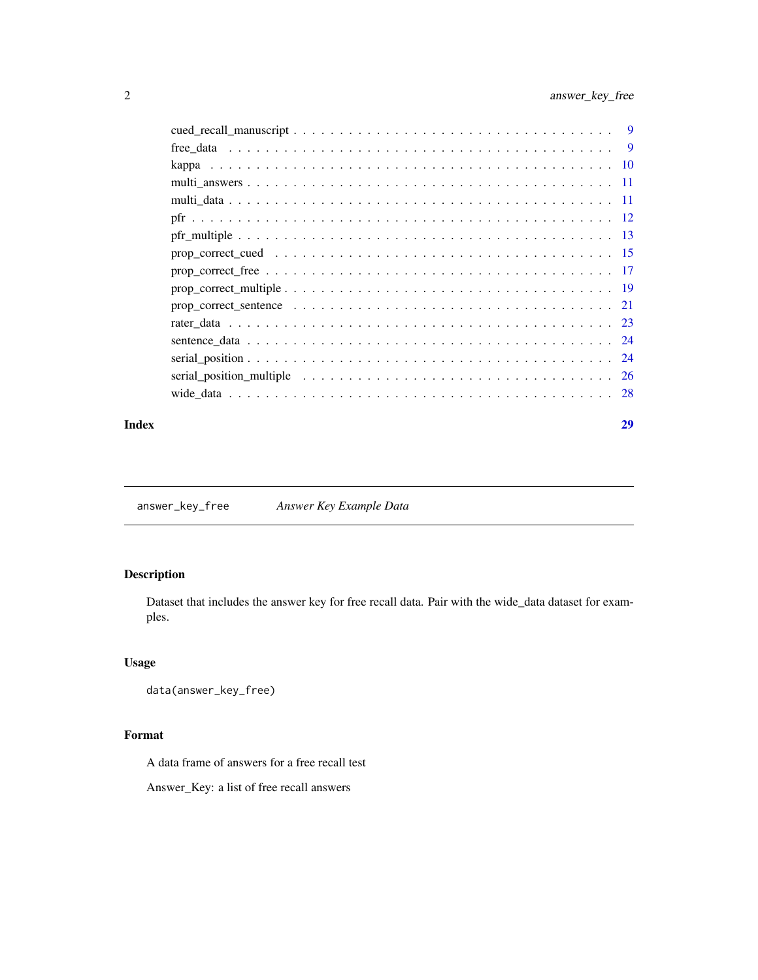<span id="page-1-0"></span>

| $prop\_correct\_multiple \dots \dots \dots \dots \dots \dots \dots \dots \dots \dots \dots \dots \dots \dots \dots \dots \dots \dots$ |  |
|---------------------------------------------------------------------------------------------------------------------------------------|--|
|                                                                                                                                       |  |
|                                                                                                                                       |  |
|                                                                                                                                       |  |
|                                                                                                                                       |  |
|                                                                                                                                       |  |
|                                                                                                                                       |  |
|                                                                                                                                       |  |

#### **Index** [29](#page-28-0)

answer\_key\_free *Answer Key Example Data*

# Description

Dataset that includes the answer key for free recall data. Pair with the wide\_data dataset for examples.

# Usage

```
data(answer_key_free)
```
# Format

A data frame of answers for a free recall test

Answer\_Key: a list of free recall answers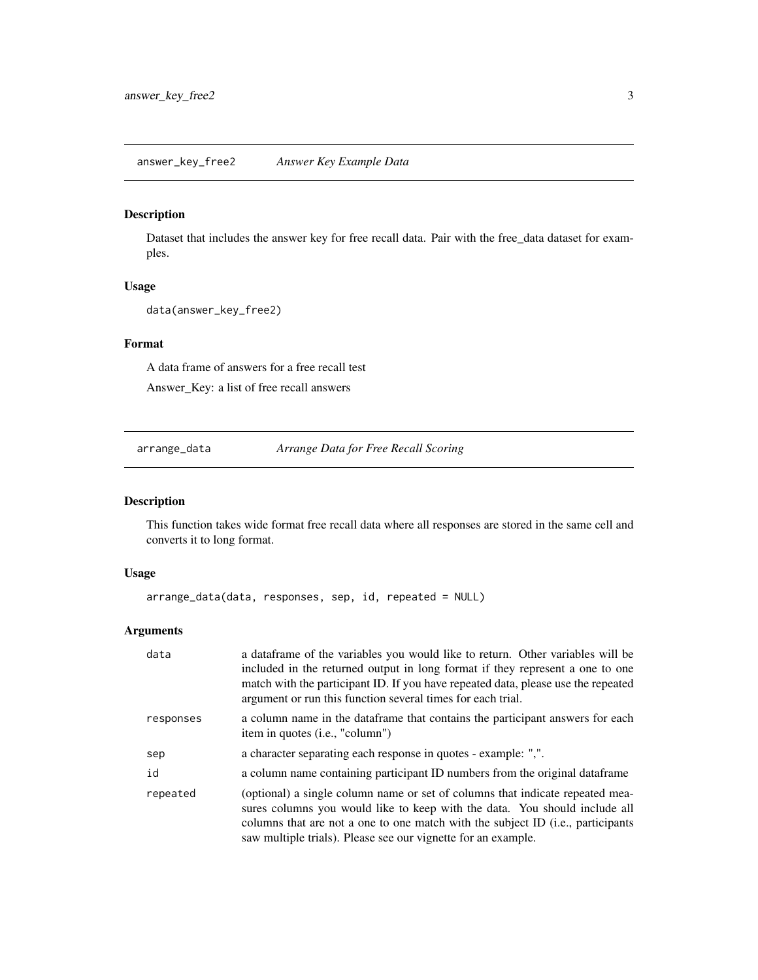<span id="page-2-0"></span>Dataset that includes the answer key for free recall data. Pair with the free\_data dataset for examples.

## Usage

data(answer\_key\_free2)

# Format

A data frame of answers for a free recall test

Answer\_Key: a list of free recall answers

arrange\_data *Arrange Data for Free Recall Scoring*

# Description

This function takes wide format free recall data where all responses are stored in the same cell and converts it to long format.

# Usage

arrange\_data(data, responses, sep, id, repeated = NULL)

# Arguments

| data      | a dataframe of the variables you would like to return. Other variables will be<br>included in the returned output in long format if they represent a one to one<br>match with the participant ID. If you have repeated data, please use the repeated<br>argument or run this function several times for each trial. |
|-----------|---------------------------------------------------------------------------------------------------------------------------------------------------------------------------------------------------------------------------------------------------------------------------------------------------------------------|
| responses | a column name in the data frame that contains the participant answers for each<br>item in quotes (i.e., "column")                                                                                                                                                                                                   |
| sep       | a character separating each response in quotes - example: ",".                                                                                                                                                                                                                                                      |
| id        | a column name containing participant ID numbers from the original data frame                                                                                                                                                                                                                                        |
| repeated  | (optional) a single column name or set of columns that indicate repeated mea-<br>sures columns you would like to keep with the data. You should include all<br>columns that are not a one to one match with the subject ID (i.e., participants<br>saw multiple trials). Please see our vignette for an example.     |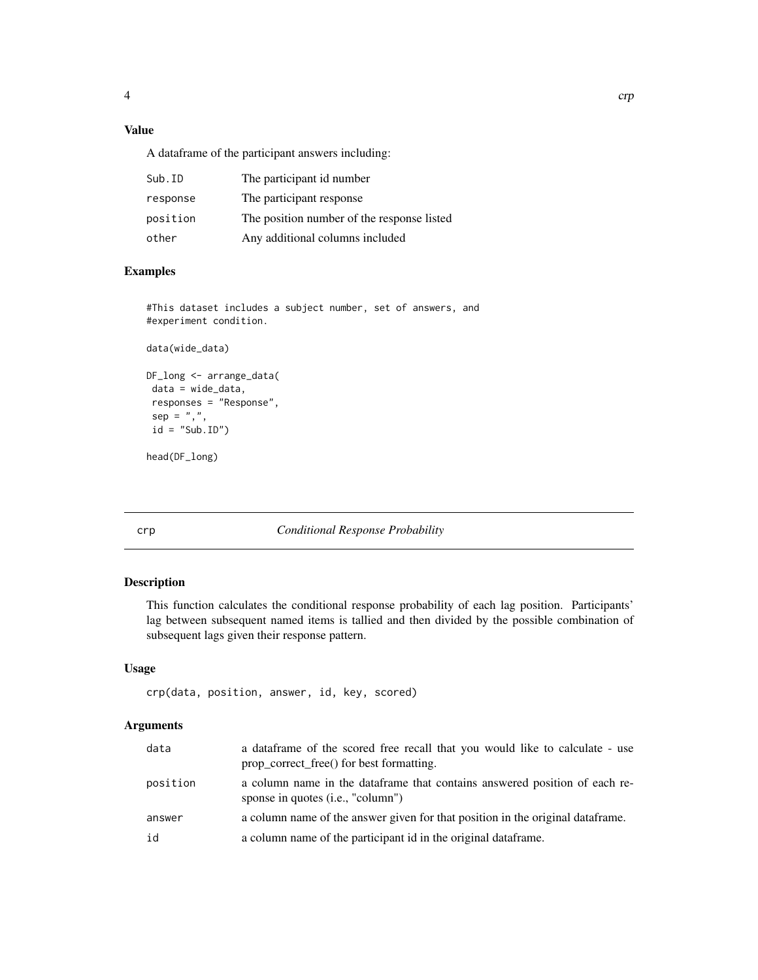# <span id="page-3-0"></span>Value

A dataframe of the participant answers including:

| Sub.ID   | The participant id number                  |
|----------|--------------------------------------------|
| response | The participant response                   |
| position | The position number of the response listed |
| other    | Any additional columns included            |

# Examples

```
#This dataset includes a subject number, set of answers, and
#experiment condition.
```

```
data(wide_data)
```

```
DF_long <- arrange_data(
data = wide_data,
responses = "Response",
sep = ","id = "Sub.ID")
```
head(DF\_long)

crp *Conditional Response Probability*

# Description

This function calculates the conditional response probability of each lag position. Participants' lag between subsequent named items is tallied and then divided by the possible combination of subsequent lags given their response pattern.

#### Usage

```
crp(data, position, answer, id, key, scored)
```
# Arguments

| data     | a data frame of the scored free recall that you would like to calculate - use<br>prop correct free() for best formatting. |
|----------|---------------------------------------------------------------------------------------------------------------------------|
| position | a column name in the data frame that contains answered position of each re-<br>sponse in quotes $(i.e., "column")$        |
| answer   | a column name of the answer given for that position in the original data frame.                                           |
| id       | a column name of the participant id in the original data frame.                                                           |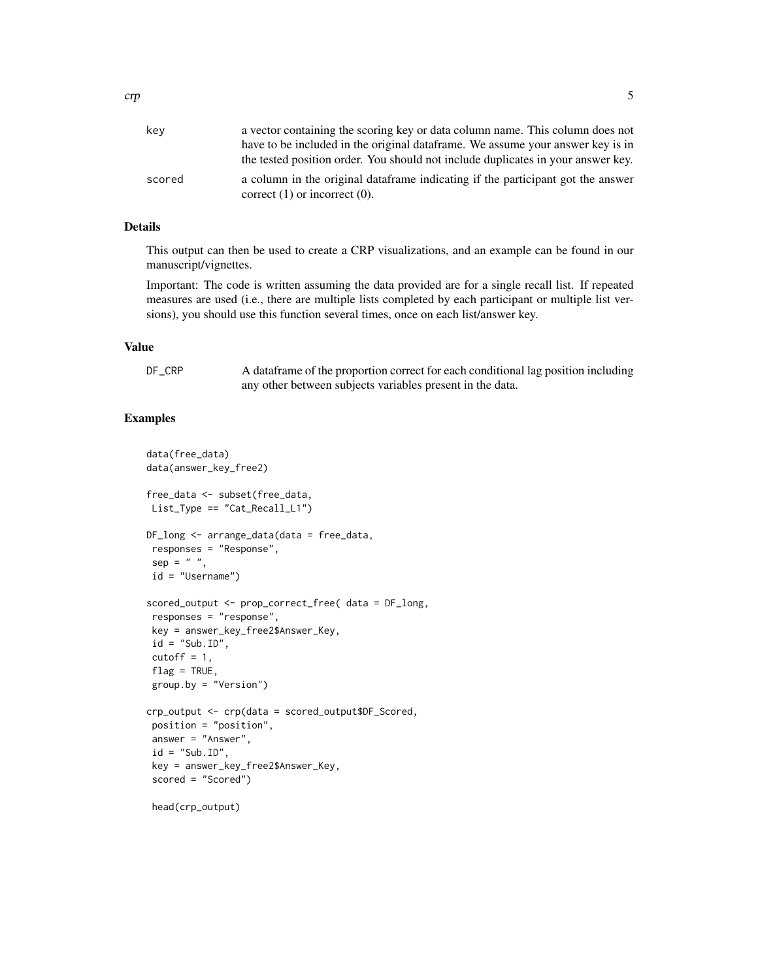| crp                      |  |
|--------------------------|--|
| $\overline{\phantom{a}}$ |  |

| kev    | a vector containing the scoring key or data column name. This column does not                                          |
|--------|------------------------------------------------------------------------------------------------------------------------|
|        | have to be included in the original dataframe. We assume your answer key is in                                         |
|        | the tested position order. You should not include duplicates in your answer key.                                       |
| scored | a column in the original data frame indicating if the participant got the answer<br>correct $(1)$ or incorrect $(0)$ . |
|        |                                                                                                                        |

# Details

This output can then be used to create a CRP visualizations, and an example can be found in our manuscript/vignettes.

Important: The code is written assuming the data provided are for a single recall list. If repeated measures are used (i.e., there are multiple lists completed by each participant or multiple list versions), you should use this function several times, once on each list/answer key.

# Value

DF\_CRP A dataframe of the proportion correct for each conditional lag position including any other between subjects variables present in the data.

# Examples

```
data(free_data)
data(answer_key_free2)
free_data <- subset(free_data,
List_Type == "Cat_Recall_L1")
DF_long <- arrange_data(data = free_data,
responses = "Response",
sep = " "id = "Username")
scored_output <- prop_correct_free( data = DF_long,
responses = "response",
key = answer_key_free2$Answer_Key,
id = "Sub.ID".cutoff = 1,
flag = TRUE,group.by = "Version")
crp_output <- crp(data = scored_output$DF_Scored,
position = "position",
answer = "Answer",
id = "Sub.ID",key = answer_key_free2$Answer_Key,
scored = "Scored")
head(crp_output)
```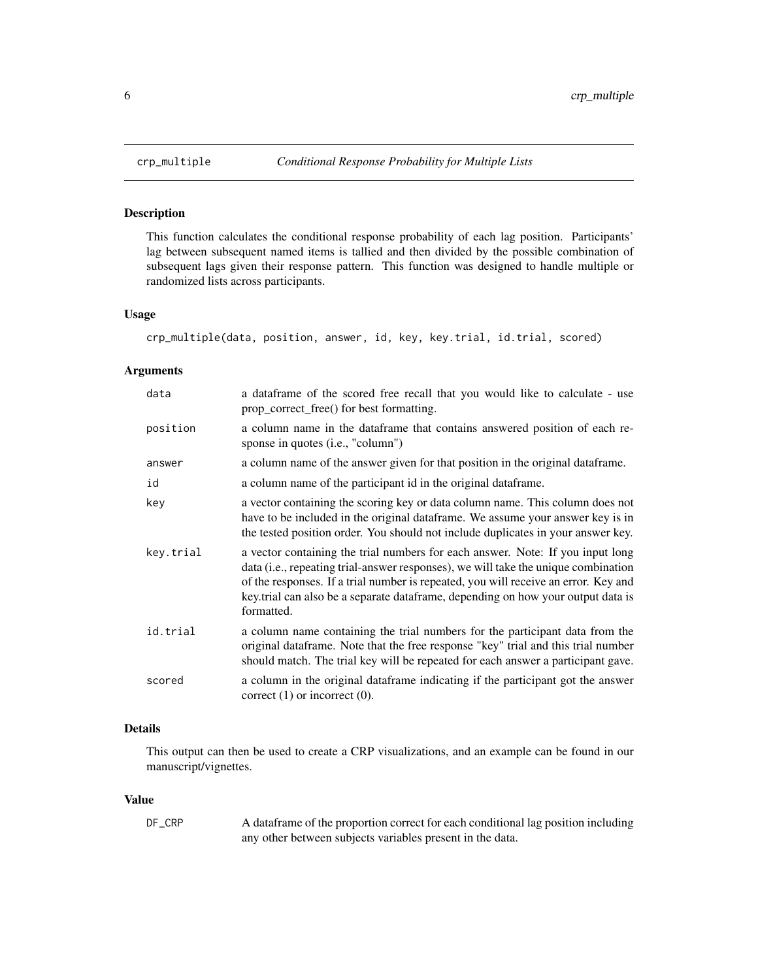This function calculates the conditional response probability of each lag position. Participants' lag between subsequent named items is tallied and then divided by the possible combination of subsequent lags given their response pattern. This function was designed to handle multiple or randomized lists across participants.

# Usage

```
crp_multiple(data, position, answer, id, key, key.trial, id.trial, scored)
```
# Arguments

| data      | a dataframe of the scored free recall that you would like to calculate - use<br>prop_correct_free() for best formatting.                                                                                                                                                                                                                                      |
|-----------|---------------------------------------------------------------------------------------------------------------------------------------------------------------------------------------------------------------------------------------------------------------------------------------------------------------------------------------------------------------|
| position  | a column name in the data frame that contains answered position of each re-<br>sponse in quotes (i.e., "column")                                                                                                                                                                                                                                              |
| answer    | a column name of the answer given for that position in the original data frame.                                                                                                                                                                                                                                                                               |
| id        | a column name of the participant id in the original data frame.                                                                                                                                                                                                                                                                                               |
| key       | a vector containing the scoring key or data column name. This column does not<br>have to be included in the original dataframe. We assume your answer key is in<br>the tested position order. You should not include duplicates in your answer key.                                                                                                           |
| key.trial | a vector containing the trial numbers for each answer. Note: If you input long<br>data (i.e., repeating trial-answer responses), we will take the unique combination<br>of the responses. If a trial number is repeated, you will receive an error. Key and<br>key.trial can also be a separate dataframe, depending on how your output data is<br>formatted. |
| id.trial  | a column name containing the trial numbers for the participant data from the<br>original dataframe. Note that the free response "key" trial and this trial number<br>should match. The trial key will be repeated for each answer a participant gave.                                                                                                         |
| scored    | a column in the original dataframe indicating if the participant got the answer<br>correct $(1)$ or incorrect $(0)$ .                                                                                                                                                                                                                                         |

# Details

This output can then be used to create a CRP visualizations, and an example can be found in our manuscript/vignettes.

#### Value

| DF CRP | A dataframe of the proportion correct for each conditional lag position including |
|--------|-----------------------------------------------------------------------------------|
|        | any other between subjects variables present in the data.                         |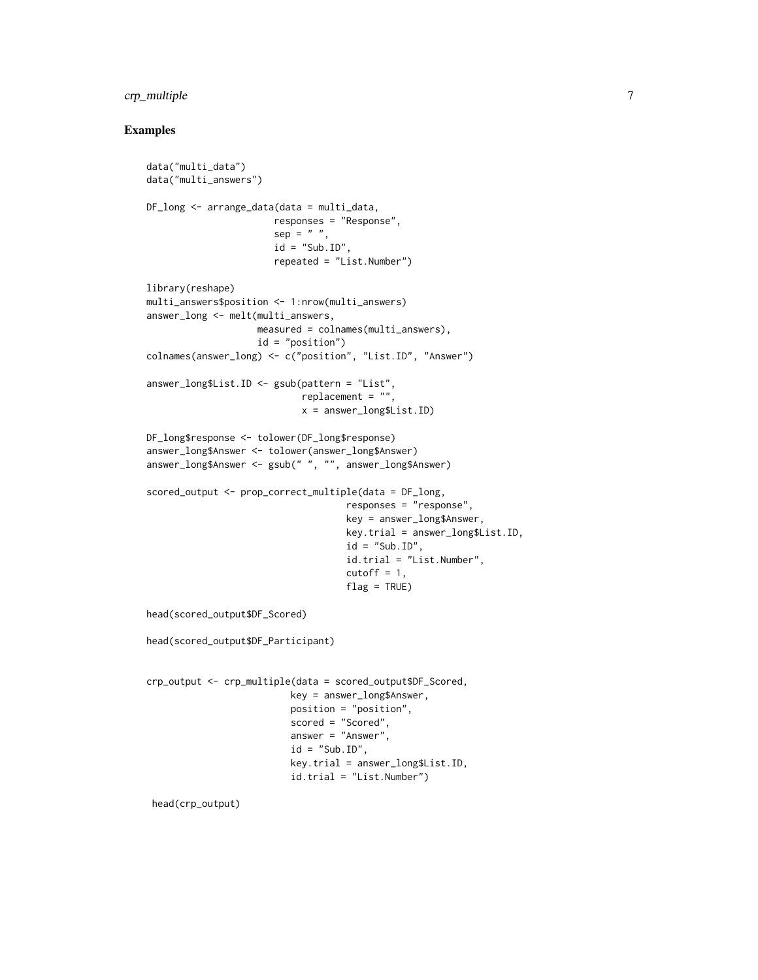# crp\_multiple 7

# Examples

```
data("multi_data")
data("multi_answers")
DF_long <- arrange_data(data = multi_data,
                       responses = "Response",
                       sep = " " " ,id = "Sub.ID",repeated = "List.Number")
library(reshape)
multi_answers$position <- 1:nrow(multi_answers)
answer_long <- melt(multi_answers,
                    measured = colnames(multi_answers),
                    id = "position")
colnames(answer_long) <- c("position", "List.ID", "Answer")
answer_long$List.ID <- gsub(pattern = "List",
                            replacement = ",
                            x = answer_long$List.ID)
DF_long$response <- tolower(DF_long$response)
answer_long$Answer <- tolower(answer_long$Answer)
answer_long$Answer <- gsub(" ", "", answer_long$Answer)
scored_output <- prop_correct_multiple(data = DF_long,
                                    responses = "response",
                                    key = answer_long$Answer,
                                    key.trial = answer_long$List.ID,
                                    id = "Sub.ID",id.trial = "List.Number",
                                    cutoff = 1,flag = TRUE)
head(scored_output$DF_Scored)
head(scored_output$DF_Participant)
crp_output <- crp_multiple(data = scored_output$DF_Scored,
                          key = answer_long$Answer,
                          position = "position",
                          scored = "Scored",
                          answer = "Answer",
                          id = "Sub.ID",key.trial = answer_long$List.ID,
                          id.trial = "List.Number")
```
head(crp\_output)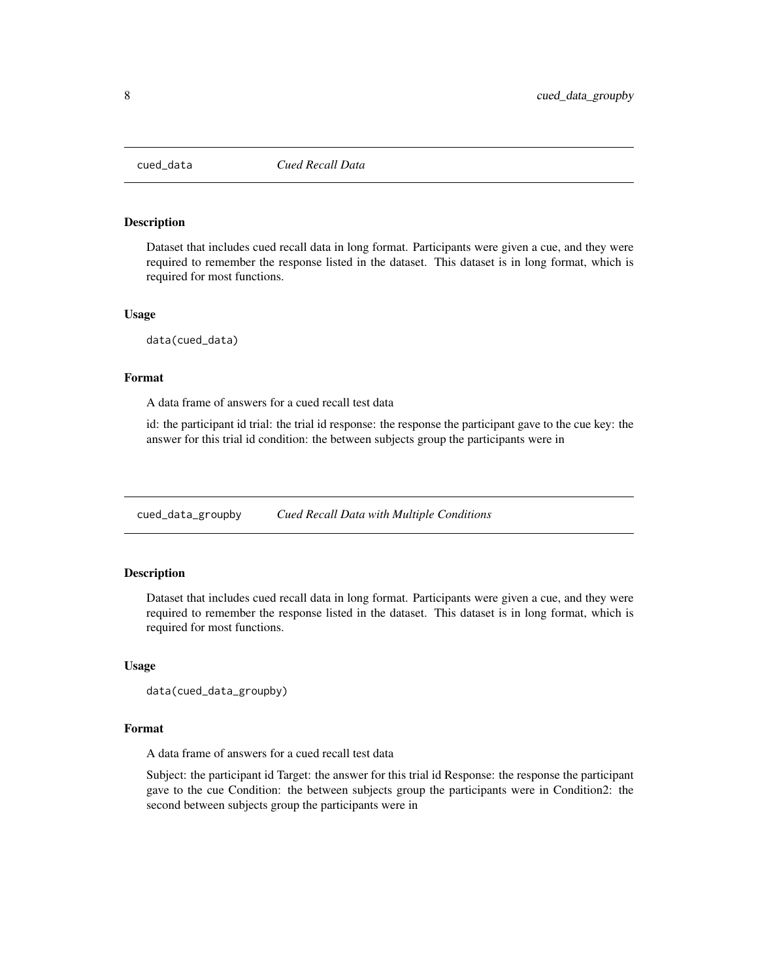<span id="page-7-0"></span>

Dataset that includes cued recall data in long format. Participants were given a cue, and they were required to remember the response listed in the dataset. This dataset is in long format, which is required for most functions.

#### Usage

data(cued\_data)

# Format

A data frame of answers for a cued recall test data

id: the participant id trial: the trial id response: the response the participant gave to the cue key: the answer for this trial id condition: the between subjects group the participants were in

cued\_data\_groupby *Cued Recall Data with Multiple Conditions*

#### Description

Dataset that includes cued recall data in long format. Participants were given a cue, and they were required to remember the response listed in the dataset. This dataset is in long format, which is required for most functions.

#### Usage

```
data(cued_data_groupby)
```
# Format

A data frame of answers for a cued recall test data

Subject: the participant id Target: the answer for this trial id Response: the response the participant gave to the cue Condition: the between subjects group the participants were in Condition2: the second between subjects group the participants were in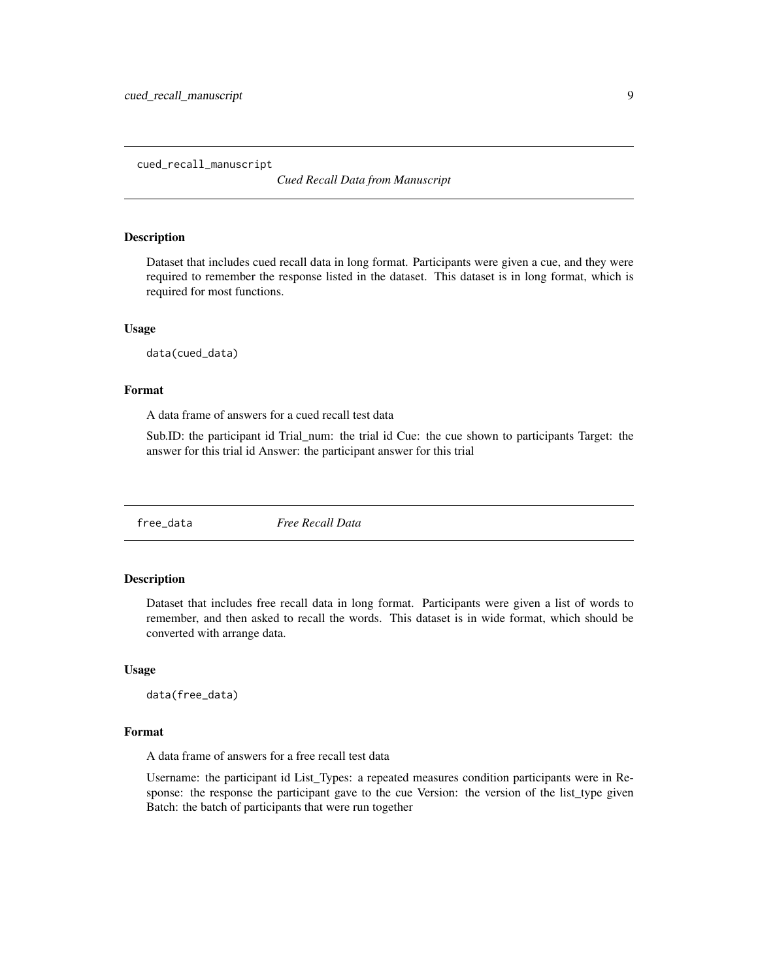<span id="page-8-0"></span>cued\_recall\_manuscript

*Cued Recall Data from Manuscript*

# Description

Dataset that includes cued recall data in long format. Participants were given a cue, and they were required to remember the response listed in the dataset. This dataset is in long format, which is required for most functions.

#### Usage

data(cued\_data)

#### Format

A data frame of answers for a cued recall test data

Sub.ID: the participant id Trial\_num: the trial id Cue: the cue shown to participants Target: the answer for this trial id Answer: the participant answer for this trial

free\_data *Free Recall Data*

# Description

Dataset that includes free recall data in long format. Participants were given a list of words to remember, and then asked to recall the words. This dataset is in wide format, which should be converted with arrange data.

#### Usage

data(free\_data)

#### Format

A data frame of answers for a free recall test data

Username: the participant id List\_Types: a repeated measures condition participants were in Response: the response the participant gave to the cue Version: the version of the list\_type given Batch: the batch of participants that were run together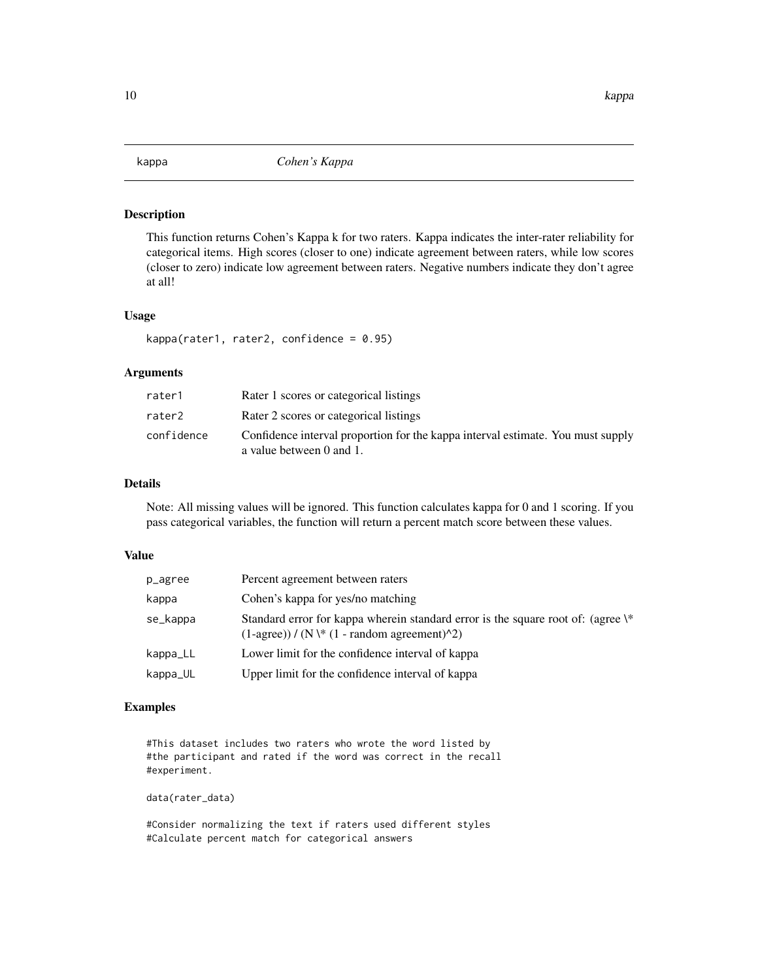<span id="page-9-0"></span>This function returns Cohen's Kappa k for two raters. Kappa indicates the inter-rater reliability for categorical items. High scores (closer to one) indicate agreement between raters, while low scores (closer to zero) indicate low agreement between raters. Negative numbers indicate they don't agree at all!

#### Usage

 $kappa(rater1, rater2, confidence = 0.95)$ 

#### Arguments

| rater1     | Rater 1 scores or categorical listings                                                                      |
|------------|-------------------------------------------------------------------------------------------------------------|
| rater2     | Rater 2 scores or categorical listings                                                                      |
| confidence | Confidence interval proportion for the kappa interval estimate. You must supply<br>a value between 0 and 1. |

# Details

Note: All missing values will be ignored. This function calculates kappa for 0 and 1 scoring. If you pass categorical variables, the function will return a percent match score between these values.

#### Value

| p_agree  | Percent agreement between raters                                                                                                                               |
|----------|----------------------------------------------------------------------------------------------------------------------------------------------------------------|
| kappa    | Cohen's kappa for yes/no matching                                                                                                                              |
| se_kappa | Standard error for kappa wherein standard error is the square root of: (agree) <sup>*</sup><br>$(1\text{-agree})) / (N \times (1\text{- random agreement})^2)$ |
| kappa_LL | Lower limit for the confidence interval of kappa                                                                                                               |
| kappa_UL | Upper limit for the confidence interval of kappa                                                                                                               |

# Examples

#This dataset includes two raters who wrote the word listed by #the participant and rated if the word was correct in the recall #experiment.

data(rater\_data)

#Consider normalizing the text if raters used different styles #Calculate percent match for categorical answers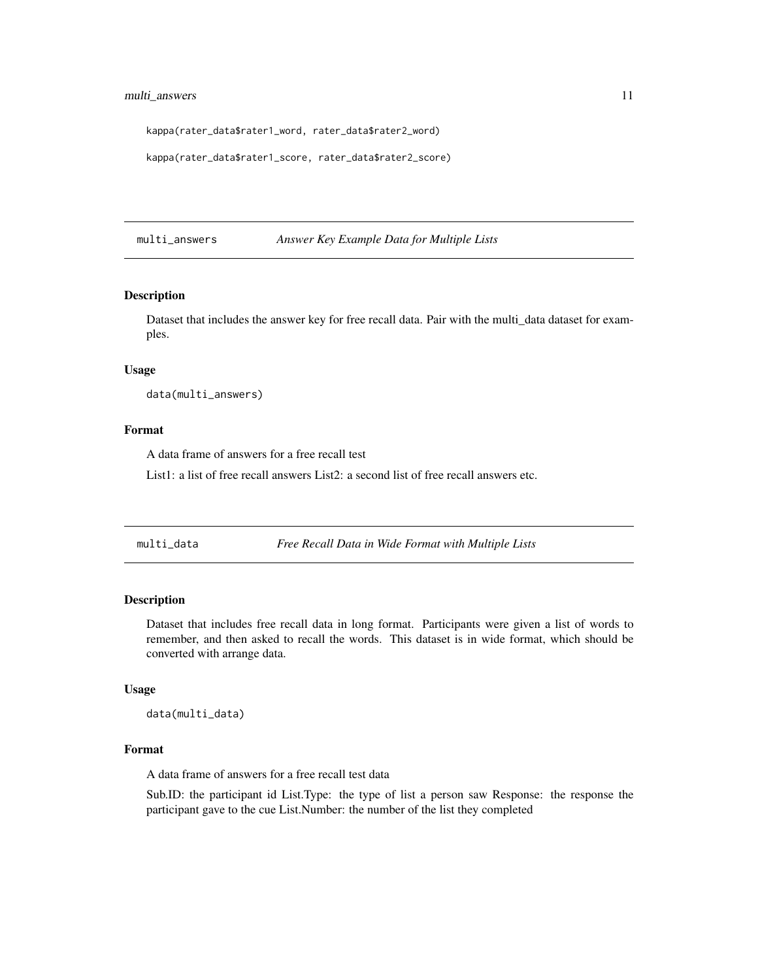<span id="page-10-0"></span>kappa(rater\_data\$rater1\_word, rater\_data\$rater2\_word)

```
kappa(rater_data$rater1_score, rater_data$rater2_score)
```
multi\_answers *Answer Key Example Data for Multiple Lists*

# Description

Dataset that includes the answer key for free recall data. Pair with the multi\_data dataset for examples.

#### Usage

data(multi\_answers)

#### Format

A data frame of answers for a free recall test

List1: a list of free recall answers List2: a second list of free recall answers etc.

multi\_data *Free Recall Data in Wide Format with Multiple Lists*

#### Description

Dataset that includes free recall data in long format. Participants were given a list of words to remember, and then asked to recall the words. This dataset is in wide format, which should be converted with arrange data.

#### Usage

data(multi\_data)

#### Format

A data frame of answers for a free recall test data

Sub.ID: the participant id List.Type: the type of list a person saw Response: the response the participant gave to the cue List.Number: the number of the list they completed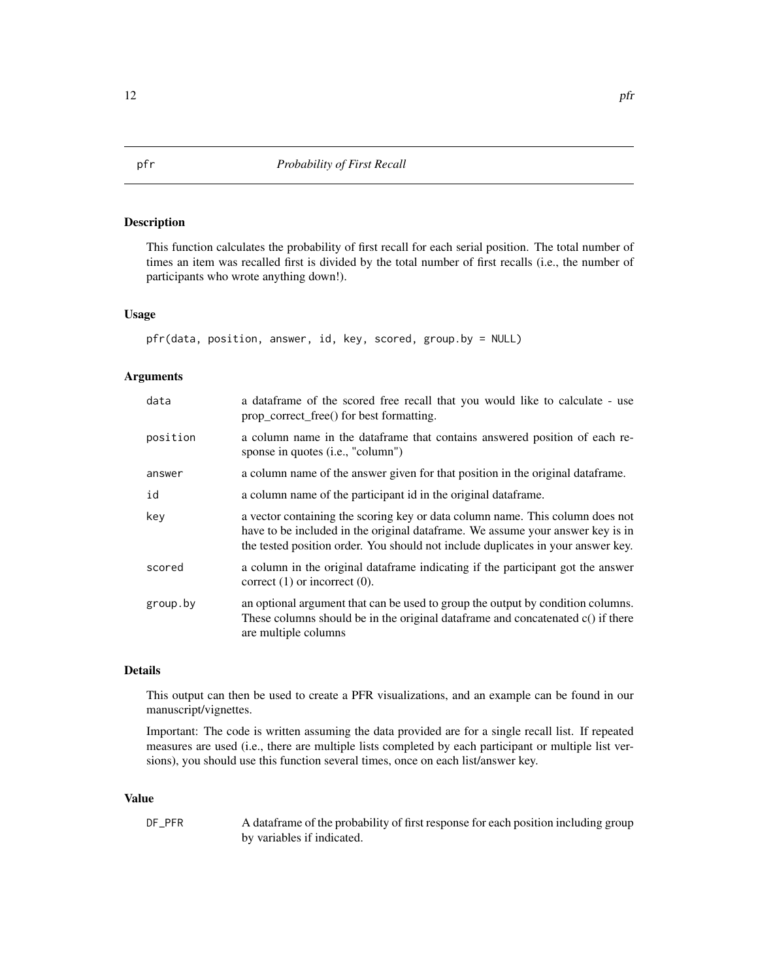This function calculates the probability of first recall for each serial position. The total number of times an item was recalled first is divided by the total number of first recalls (i.e., the number of participants who wrote anything down!).

#### Usage

```
pfr(data, position, answer, id, key, scored, group.by = NULL)
```
# Arguments

| data     | a dataframe of the scored free recall that you would like to calculate - use<br>prop_correct_free() for best formatting.                                                                                                                             |
|----------|------------------------------------------------------------------------------------------------------------------------------------------------------------------------------------------------------------------------------------------------------|
| position | a column name in the data frame that contains answered position of each re-<br>sponse in quotes (i.e., "column")                                                                                                                                     |
| answer   | a column name of the answer given for that position in the original data frame.                                                                                                                                                                      |
| id       | a column name of the participant id in the original dataframe.                                                                                                                                                                                       |
| key      | a vector containing the scoring key or data column name. This column does not<br>have to be included in the original data frame. We assume your answer key is in<br>the tested position order. You should not include duplicates in your answer key. |
| scored   | a column in the original data frame indicating if the participant got the answer<br>correct $(1)$ or incorrect $(0)$ .                                                                                                                               |
| group.by | an optional argument that can be used to group the output by condition columns.<br>These columns should be in the original data frame and concatenated $c()$ if there<br>are multiple columns                                                        |

# Details

This output can then be used to create a PFR visualizations, and an example can be found in our manuscript/vignettes.

Important: The code is written assuming the data provided are for a single recall list. If repeated measures are used (i.e., there are multiple lists completed by each participant or multiple list versions), you should use this function several times, once on each list/answer key.

### Value

DF\_PFR A dataframe of the probability of first response for each position including group by variables if indicated.

<span id="page-11-0"></span>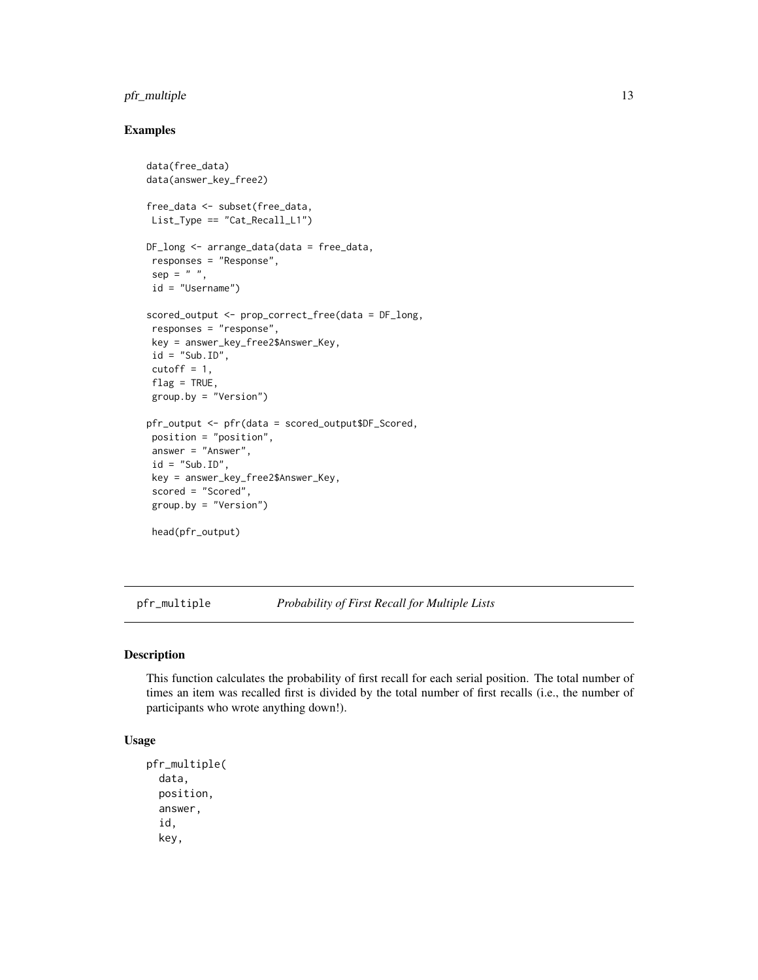# <span id="page-12-0"></span>pfr\_multiple 13

# Examples

```
data(free_data)
data(answer_key_free2)
free_data <- subset(free_data,
List_Type == "Cat_Recall_L1")
DF_long <- arrange_data(data = free_data,
responses = "Response",
sep = " " ,id = "Username")
scored_output <- prop_correct_free(data = DF_long,
responses = "response",
key = answer_key_free2$Answer_Key,
id = "Sub.ID",cutoff = 1,
flag = TRUE,group.by = "Version")
pfr_output <- pfr(data = scored_output$DF_Scored,
position = "position",
answer = "Answer",
id = "Sub.ID",key = answer_key_free2$Answer_Key,
scored = "Scored",
group.by = "Version")
head(pfr_output)
```
pfr\_multiple *Probability of First Recall for Multiple Lists*

# Description

This function calculates the probability of first recall for each serial position. The total number of times an item was recalled first is divided by the total number of first recalls (i.e., the number of participants who wrote anything down!).

# Usage

```
pfr_multiple(
  data,
 position,
 answer,
  id,
  key,
```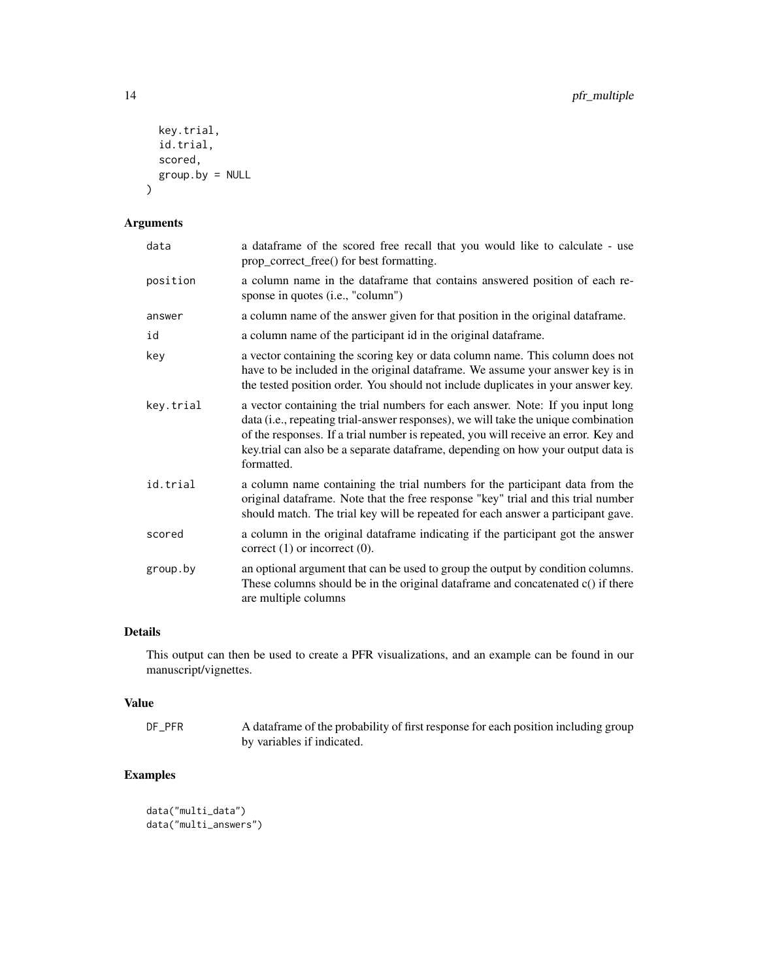```
key.trial,
 id.trial,
 scored,
 group.by = NULL
)
```
# Arguments

| data      | a dataframe of the scored free recall that you would like to calculate - use<br>prop_correct_free() for best formatting.                                                                                                                                                                                                                                      |
|-----------|---------------------------------------------------------------------------------------------------------------------------------------------------------------------------------------------------------------------------------------------------------------------------------------------------------------------------------------------------------------|
| position  | a column name in the dataframe that contains answered position of each re-<br>sponse in quotes (i.e., "column")                                                                                                                                                                                                                                               |
| answer    | a column name of the answer given for that position in the original dataframe.                                                                                                                                                                                                                                                                                |
| id        | a column name of the participant id in the original dataframe.                                                                                                                                                                                                                                                                                                |
| key       | a vector containing the scoring key or data column name. This column does not<br>have to be included in the original dataframe. We assume your answer key is in<br>the tested position order. You should not include duplicates in your answer key.                                                                                                           |
| key.trial | a vector containing the trial numbers for each answer. Note: If you input long<br>data (i.e., repeating trial-answer responses), we will take the unique combination<br>of the responses. If a trial number is repeated, you will receive an error. Key and<br>key.trial can also be a separate dataframe, depending on how your output data is<br>formatted. |
| id.trial  | a column name containing the trial numbers for the participant data from the<br>original dataframe. Note that the free response "key" trial and this trial number<br>should match. The trial key will be repeated for each answer a participant gave.                                                                                                         |
| scored    | a column in the original dataframe indicating if the participant got the answer<br>correct $(1)$ or incorrect $(0)$ .                                                                                                                                                                                                                                         |
| group.by  | an optional argument that can be used to group the output by condition columns.<br>These columns should be in the original data frame and concatenated $c()$ if there<br>are multiple columns                                                                                                                                                                 |

# Details

This output can then be used to create a PFR visualizations, and an example can be found in our manuscript/vignettes.

# Value

```
DF_PFR A dataframe of the probability of first response for each position including group
                 by variables if indicated.
```
# Examples

```
data("multi_data")
data("multi_answers")
```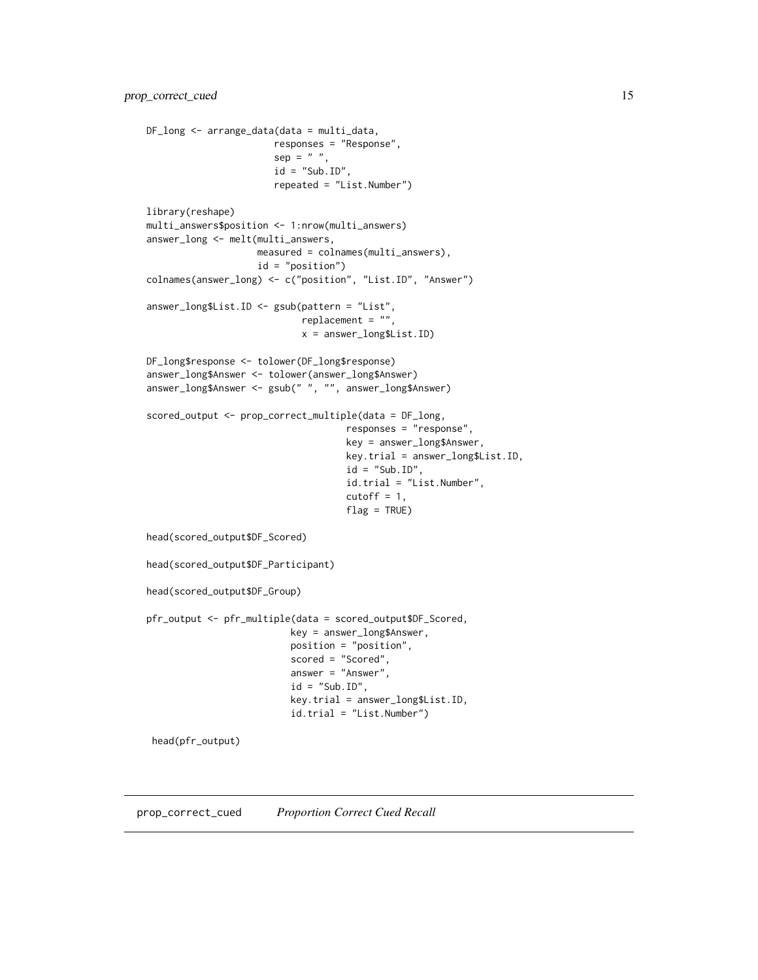```
DF_long <- arrange_data(data = multi_data,
                       responses = "Response",
                       sep = " "id = "Sub.ID",repeated = "List.Number")
library(reshape)
multi_answers$position <- 1:nrow(multi_answers)
answer_long <- melt(multi_answers,
                    measured = colnames(multi_answers),
                    id = "position")
colnames(answer_long) <- c("position", "List.ID", "Answer")
answer_long$List.ID <- gsub(pattern = "List",
                            replacement = ",
                            x = answer_long$List.ID)
DF_long$response <- tolower(DF_long$response)
answer_long$Answer <- tolower(answer_long$Answer)
answer_long$Answer <- gsub(" ", "", answer_long$Answer)
scored_output <- prop_correct_multiple(data = DF_long,
                                    responses = "response",
                                    key = answer_long$Answer,
                                    key.trial = answer_long$List.ID,
                                    id = "Sub.ID",id.trial = "List.Number",
                                    cutoff = 1,
                                    flag = TRUE)
head(scored_output$DF_Scored)
head(scored_output$DF_Participant)
head(scored_output$DF_Group)
pfr_output <- pfr_multiple(data = scored_output$DF_Scored,
                          key = answer_long$Answer,
                          position = "position",
                          scored = "Scored",
                          answer = "Answer",
                          id = "Sub.ID",key.trial = answer_long$List.ID,
                          id.trial = "List.Number")
 head(pfr_output)
```
prop\_correct\_cued *Proportion Correct Cued Recall*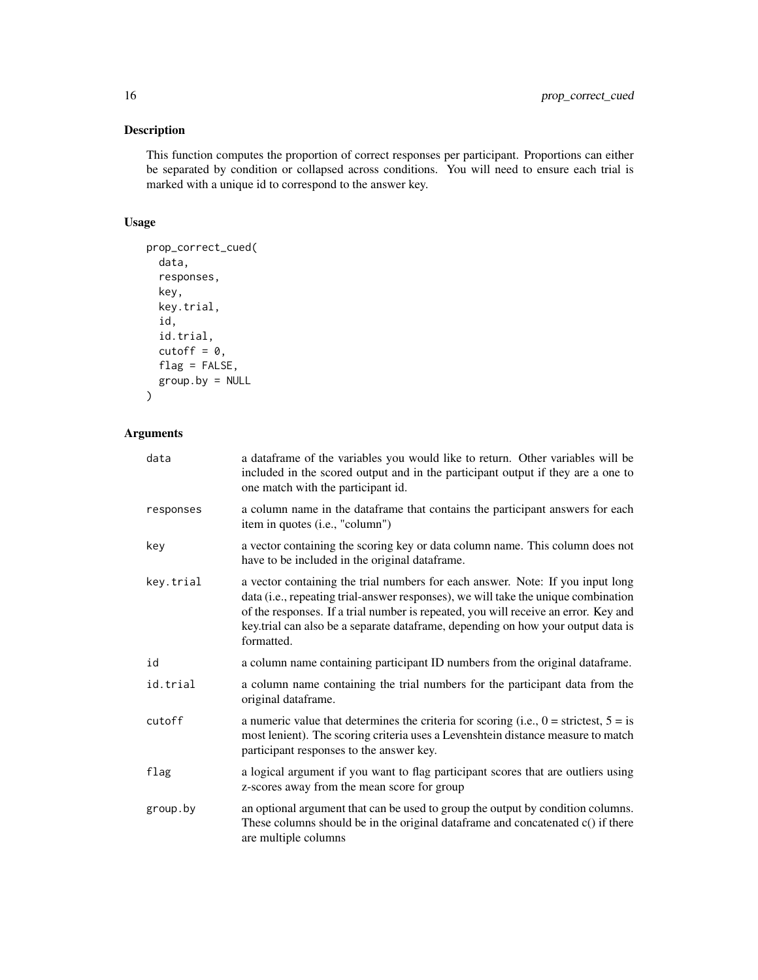This function computes the proportion of correct responses per participant. Proportions can either be separated by condition or collapsed across conditions. You will need to ensure each trial is marked with a unique id to correspond to the answer key.

# Usage

```
prop_correct_cued(
  data,
  responses,
  key,
  key.trial,
  id,
  id.trial,
  cutoff = 0,
  flag = FALSE,group.by = NULL
\mathcal{L}
```
# Arguments

| data      | a dataframe of the variables you would like to return. Other variables will be<br>included in the scored output and in the participant output if they are a one to<br>one match with the participant id.                                                                                                                                                      |
|-----------|---------------------------------------------------------------------------------------------------------------------------------------------------------------------------------------------------------------------------------------------------------------------------------------------------------------------------------------------------------------|
| responses | a column name in the dataframe that contains the participant answers for each<br>item in quotes (i.e., "column")                                                                                                                                                                                                                                              |
| key       | a vector containing the scoring key or data column name. This column does not<br>have to be included in the original dataframe.                                                                                                                                                                                                                               |
| key.trial | a vector containing the trial numbers for each answer. Note: If you input long<br>data (i.e., repeating trial-answer responses), we will take the unique combination<br>of the responses. If a trial number is repeated, you will receive an error. Key and<br>key.trial can also be a separate dataframe, depending on how your output data is<br>formatted. |
| id        | a column name containing participant ID numbers from the original dataframe.                                                                                                                                                                                                                                                                                  |
| id.trial  | a column name containing the trial numbers for the participant data from the<br>original dataframe.                                                                                                                                                                                                                                                           |
| cutoff    | a numeric value that determines the criteria for scoring (i.e., $0 =$ strictest, $5 =$ is<br>most lenient). The scoring criteria uses a Levenshtein distance measure to match<br>participant responses to the answer key.                                                                                                                                     |
| flag      | a logical argument if you want to flag participant scores that are outliers using<br>z-scores away from the mean score for group                                                                                                                                                                                                                              |
| group.by  | an optional argument that can be used to group the output by condition columns.<br>These columns should be in the original data frame and concatenated $c()$ if there<br>are multiple columns                                                                                                                                                                 |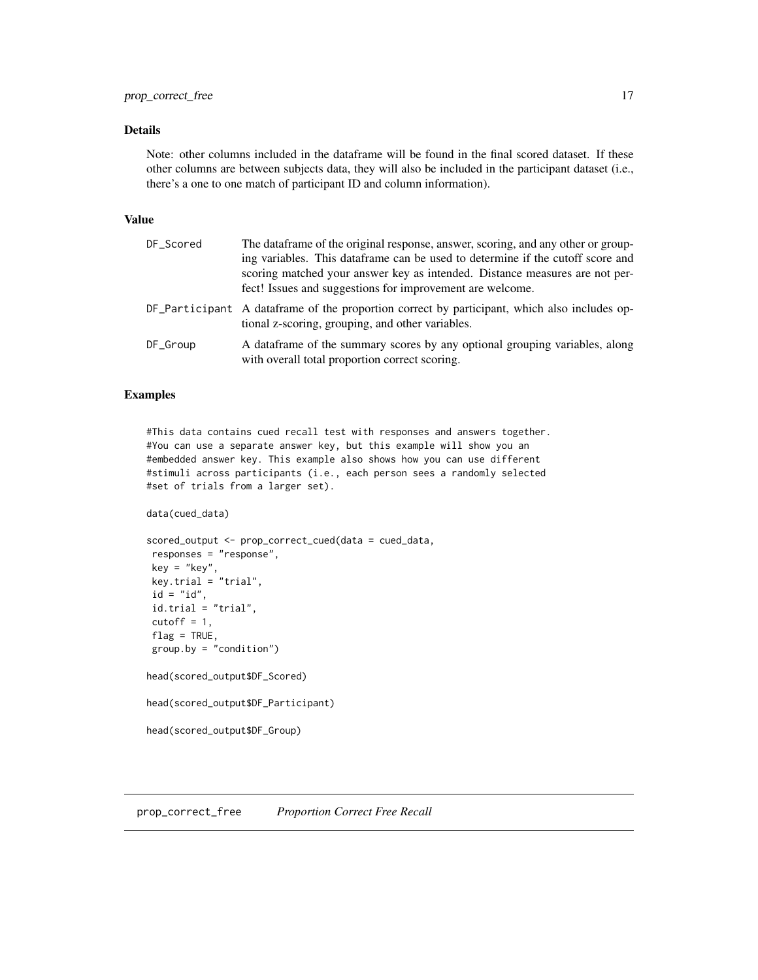#### <span id="page-16-0"></span>Details

Note: other columns included in the dataframe will be found in the final scored dataset. If these other columns are between subjects data, they will also be included in the participant dataset (i.e., there's a one to one match of participant ID and column information).

# Value

| DF_Scored | The dataframe of the original response, answer, scoring, and any other or group-<br>ing variables. This data frame can be used to determine if the cutoff score and<br>scoring matched your answer key as intended. Distance measures are not per-<br>fect! Issues and suggestions for improvement are welcome. |
|-----------|-----------------------------------------------------------------------------------------------------------------------------------------------------------------------------------------------------------------------------------------------------------------------------------------------------------------|
|           | DF_Participant A dataframe of the proportion correct by participant, which also includes op-<br>tional z-scoring, grouping, and other variables.                                                                                                                                                                |
| DF_Group  | A data frame of the summary scores by any optional grouping variables, along<br>with overall total proportion correct scoring.                                                                                                                                                                                  |

# Examples

#This data contains cued recall test with responses and answers together. #You can use a separate answer key, but this example will show you an #embedded answer key. This example also shows how you can use different #stimuli across participants (i.e., each person sees a randomly selected #set of trials from a larger set).

```
data(cued_data)
```

```
scored_output <- prop_correct_cued(data = cued_data,
responses = "response",
 key = "key",
 key.trial = "trial",
id = "id",id.train = "trial",cutoff = 1,
flag = TRUE,group.by = "condition")
head(scored_output$DF_Scored)
head(scored_output$DF_Participant)
```
head(scored\_output\$DF\_Group)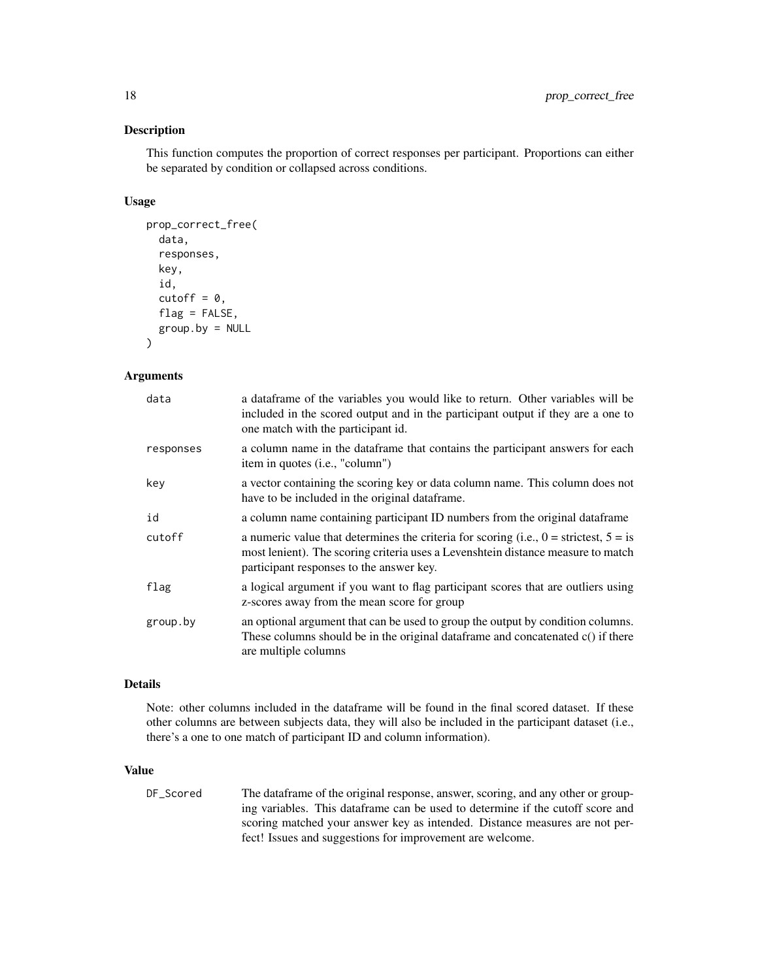This function computes the proportion of correct responses per participant. Proportions can either be separated by condition or collapsed across conditions.

## Usage

```
prop_correct_free(
  data,
  responses,
  key,
  id,
  cutoff = 0,
  flag = FALSE,group.py = NULL)
```
#### Arguments

| data      | a dataframe of the variables you would like to return. Other variables will be<br>included in the scored output and in the participant output if they are a one to<br>one match with the participant id.                  |
|-----------|---------------------------------------------------------------------------------------------------------------------------------------------------------------------------------------------------------------------------|
| responses | a column name in the data frame that contains the participant answers for each<br>item in quotes (i.e., "column")                                                                                                         |
| key       | a vector containing the scoring key or data column name. This column does not<br>have to be included in the original dataframe.                                                                                           |
| id        | a column name containing participant ID numbers from the original dataframe                                                                                                                                               |
| cutoff    | a numeric value that determines the criteria for scoring (i.e., $0 =$ strictest, $5 =$ is<br>most lenient). The scoring criteria uses a Levenshtein distance measure to match<br>participant responses to the answer key. |
| flag      | a logical argument if you want to flag participant scores that are outliers using<br>z-scores away from the mean score for group                                                                                          |
| group.by  | an optional argument that can be used to group the output by condition columns.<br>These columns should be in the original data frame and concatenated $c()$ if there<br>are multiple columns                             |

# Details

Note: other columns included in the dataframe will be found in the final scored dataset. If these other columns are between subjects data, they will also be included in the participant dataset (i.e., there's a one to one match of participant ID and column information).

# Value

DF\_Scored The dataframe of the original response, answer, scoring, and any other or grouping variables. This dataframe can be used to determine if the cutoff score and scoring matched your answer key as intended. Distance measures are not perfect! Issues and suggestions for improvement are welcome.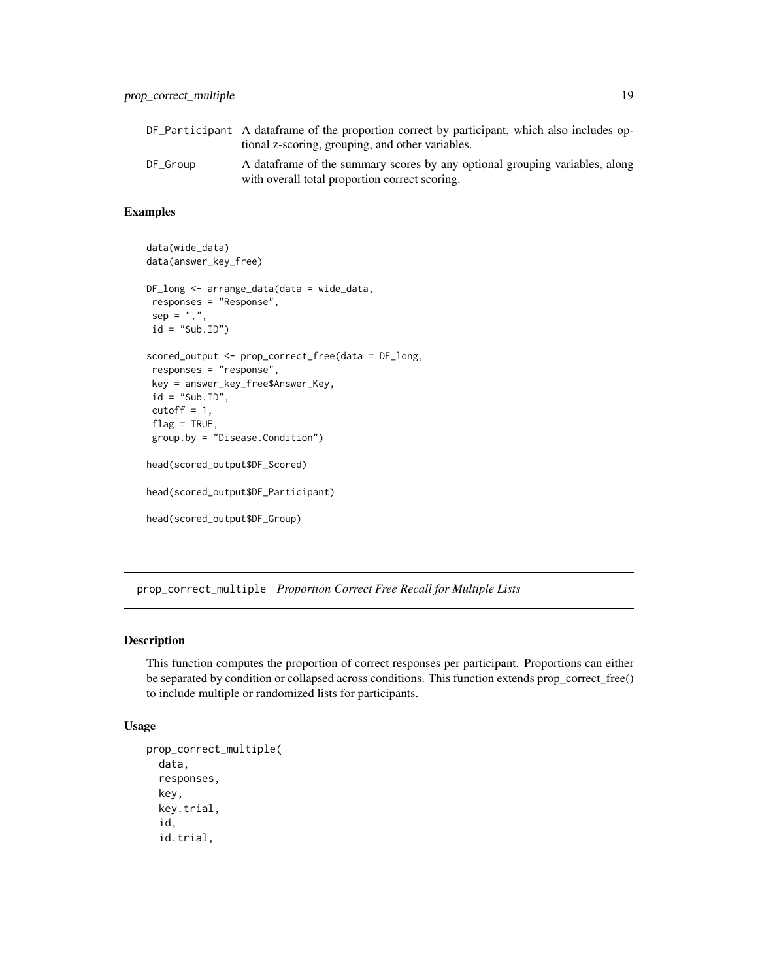<span id="page-18-0"></span>

|          | DF Participant A dataframe of the proportion correct by participant, which also includes op-                                     |
|----------|----------------------------------------------------------------------------------------------------------------------------------|
| DF Group | tional z-scoring, grouping, and other variables.<br>A data frame of the summary scores by any optional grouping variables, along |
|          | with overall total proportion correct scoring.                                                                                   |

# Examples

```
data(wide_data)
data(answer_key_free)
DF_long <- arrange_data(data = wide_data,
responses = "Response",
 sep = ","id = "Sub.ID")scored_output <- prop_correct_free(data = DF_long,
responses = "response",
 key = answer_key_free$Answer_Key,
 id = "Sub.ID",cutoff = 1,
 flag = TRUE,group.by = "Disease.Condition")
head(scored_output$DF_Scored)
head(scored_output$DF_Participant)
head(scored_output$DF_Group)
```
prop\_correct\_multiple *Proportion Correct Free Recall for Multiple Lists*

# Description

This function computes the proportion of correct responses per participant. Proportions can either be separated by condition or collapsed across conditions. This function extends prop\_correct\_free() to include multiple or randomized lists for participants.

#### Usage

```
prop_correct_multiple(
  data,
  responses,
  key,
  key.trial,
  id,
  id.trial,
```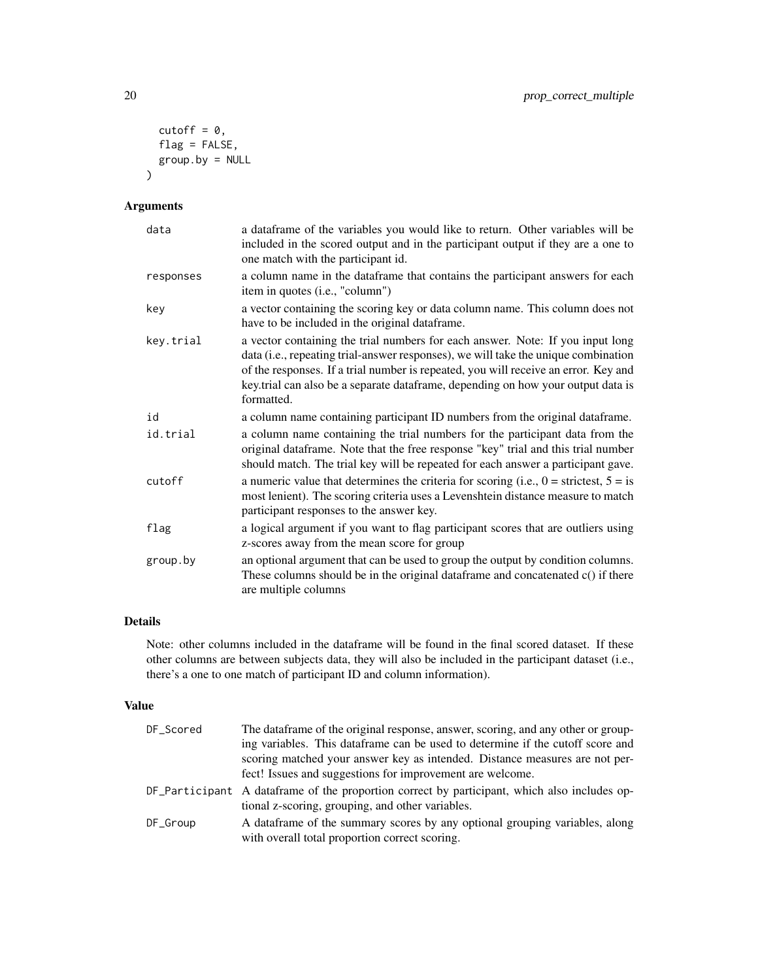```
cutoff = 0,
  flag = FALSE,
  group.py = NULL\mathcal{L}
```
# Arguments

| data      | a dataframe of the variables you would like to return. Other variables will be<br>included in the scored output and in the participant output if they are a one to<br>one match with the participant id.                                                                                                                                                      |
|-----------|---------------------------------------------------------------------------------------------------------------------------------------------------------------------------------------------------------------------------------------------------------------------------------------------------------------------------------------------------------------|
| responses | a column name in the dataframe that contains the participant answers for each<br>item in quotes (i.e., "column")                                                                                                                                                                                                                                              |
| key       | a vector containing the scoring key or data column name. This column does not<br>have to be included in the original dataframe.                                                                                                                                                                                                                               |
| key.trial | a vector containing the trial numbers for each answer. Note: If you input long<br>data (i.e., repeating trial-answer responses), we will take the unique combination<br>of the responses. If a trial number is repeated, you will receive an error. Key and<br>key.trial can also be a separate dataframe, depending on how your output data is<br>formatted. |
| id        | a column name containing participant ID numbers from the original dataframe.                                                                                                                                                                                                                                                                                  |
| id.trial  | a column name containing the trial numbers for the participant data from the<br>original dataframe. Note that the free response "key" trial and this trial number<br>should match. The trial key will be repeated for each answer a participant gave.                                                                                                         |
| cutoff    | a numeric value that determines the criteria for scoring (i.e., $0 =$ strictest, $5 =$ is<br>most lenient). The scoring criteria uses a Levenshtein distance measure to match<br>participant responses to the answer key.                                                                                                                                     |
| flag      | a logical argument if you want to flag participant scores that are outliers using<br>z-scores away from the mean score for group                                                                                                                                                                                                                              |
| group.by  | an optional argument that can be used to group the output by condition columns.<br>These columns should be in the original data frame and concatenated $c()$ if there<br>are multiple columns                                                                                                                                                                 |

# Details

Note: other columns included in the dataframe will be found in the final scored dataset. If these other columns are between subjects data, they will also be included in the participant dataset (i.e., there's a one to one match of participant ID and column information).

### Value

| DF_Scored | The dataframe of the original response, answer, scoring, and any other or group-             |
|-----------|----------------------------------------------------------------------------------------------|
|           | ing variables. This dataframe can be used to determine if the cutoff score and               |
|           | scoring matched your answer key as intended. Distance measures are not per-                  |
|           | fect! Issues and suggestions for improvement are welcome.                                    |
|           | DF_Participant A dataframe of the proportion correct by participant, which also includes op- |
|           | tional z-scoring, grouping, and other variables.                                             |
| DF_Group  | A dataframe of the summary scores by any optional grouping variables, along                  |
|           | with overall total proportion correct scoring.                                               |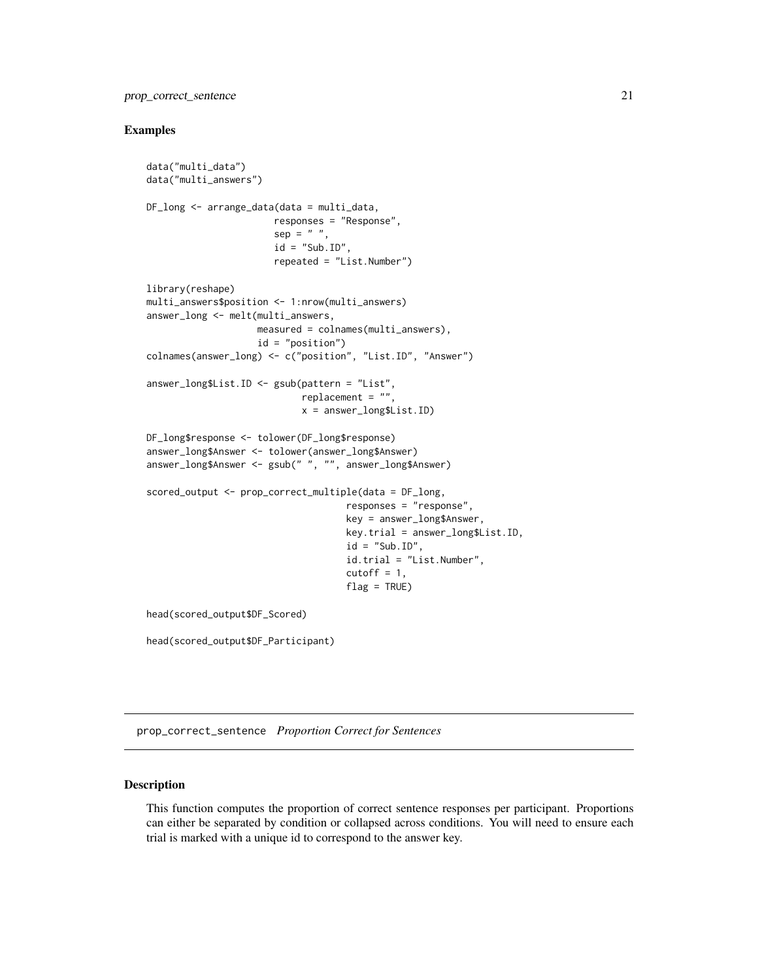# <span id="page-20-0"></span>Examples

```
data("multi_data")
data("multi_answers")
DF_long <- arrange_data(data = multi_data,
                       responses = "Response",
                       sep = " " " ,id = "Sub.ID"repeated = "List.Number")
library(reshape)
multi_answers$position <- 1:nrow(multi_answers)
answer_long <- melt(multi_answers,
                    measured = colnames(multi_answers),
                    id = "position")
colnames(answer_long) <- c("position", "List.ID", "Answer")
answer_long$List.ID <- gsub(pattern = "List",
                            replacement = "",
                            x = answer_long$List.ID)
DF_long$response <- tolower(DF_long$response)
answer_long$Answer <- tolower(answer_long$Answer)
answer_long$Answer <- gsub(" ", "", answer_long$Answer)
scored_output <- prop_correct_multiple(data = DF_long,
                                    responses = "response",
                                    key = answer_long$Answer,
                                    key.trial = answer_long$List.ID,
                                    id = "Sub.ID".id.trial = "List.Number",
                                    cutoff = 1,
                                    flag = TRUE)
head(scored_output$DF_Scored)
```
head(scored\_output\$DF\_Participant)

prop\_correct\_sentence *Proportion Correct for Sentences*

# Description

This function computes the proportion of correct sentence responses per participant. Proportions can either be separated by condition or collapsed across conditions. You will need to ensure each trial is marked with a unique id to correspond to the answer key.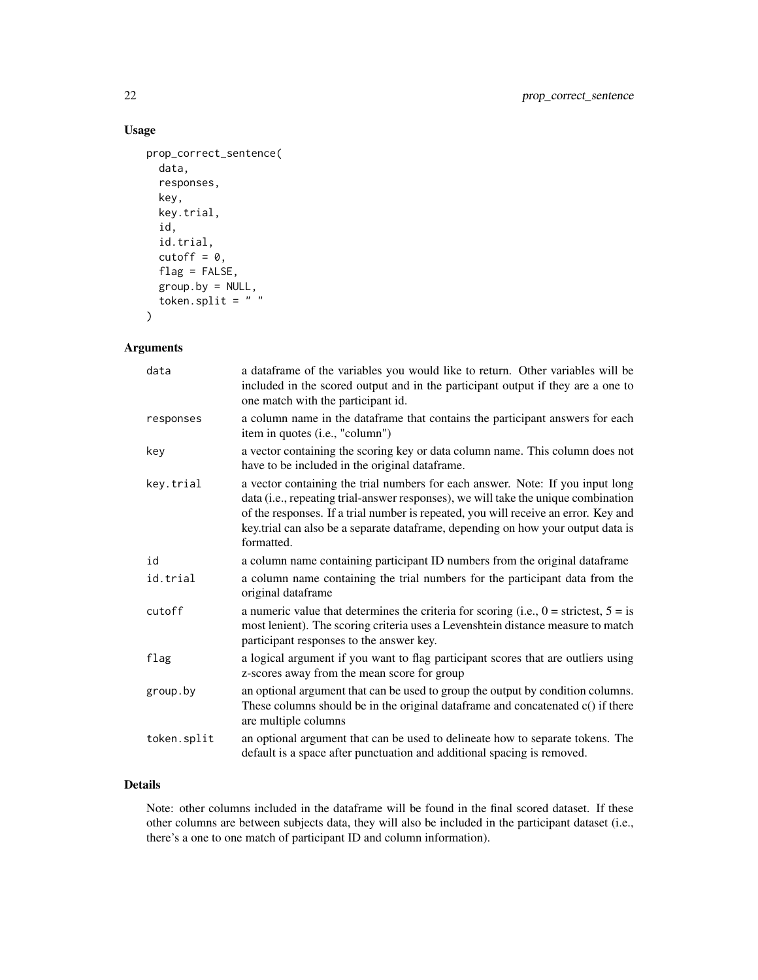# Usage

```
prop_correct_sentence(
 data,
  responses,
 key,
 key.trial,
  id,
  id.trial,
  cutoff = 0,
  flag = FALSE,
 group.py = NULL,token.split = ")
```
# Arguments

| data        | a dataframe of the variables you would like to return. Other variables will be<br>included in the scored output and in the participant output if they are a one to<br>one match with the participant id.                                                                                                                                                      |
|-------------|---------------------------------------------------------------------------------------------------------------------------------------------------------------------------------------------------------------------------------------------------------------------------------------------------------------------------------------------------------------|
| responses   | a column name in the dataframe that contains the participant answers for each<br>item in quotes (i.e., "column")                                                                                                                                                                                                                                              |
| key         | a vector containing the scoring key or data column name. This column does not<br>have to be included in the original dataframe.                                                                                                                                                                                                                               |
| key.trial   | a vector containing the trial numbers for each answer. Note: If you input long<br>data (i.e., repeating trial-answer responses), we will take the unique combination<br>of the responses. If a trial number is repeated, you will receive an error. Key and<br>key.trial can also be a separate dataframe, depending on how your output data is<br>formatted. |
| id          | a column name containing participant ID numbers from the original dataframe                                                                                                                                                                                                                                                                                   |
| id.trial    | a column name containing the trial numbers for the participant data from the<br>original dataframe                                                                                                                                                                                                                                                            |
| cutoff      | a numeric value that determines the criteria for scoring (i.e., $0 =$ strictest, $5 =$ is<br>most lenient). The scoring criteria uses a Levenshtein distance measure to match<br>participant responses to the answer key.                                                                                                                                     |
| flag        | a logical argument if you want to flag participant scores that are outliers using<br>z-scores away from the mean score for group                                                                                                                                                                                                                              |
| group.by    | an optional argument that can be used to group the output by condition columns.<br>These columns should be in the original data frame and concatenated $c()$ if there<br>are multiple columns                                                                                                                                                                 |
| token.split | an optional argument that can be used to delineate how to separate tokens. The<br>default is a space after punctuation and additional spacing is removed.                                                                                                                                                                                                     |

# Details

Note: other columns included in the dataframe will be found in the final scored dataset. If these other columns are between subjects data, they will also be included in the participant dataset (i.e., there's a one to one match of participant ID and column information).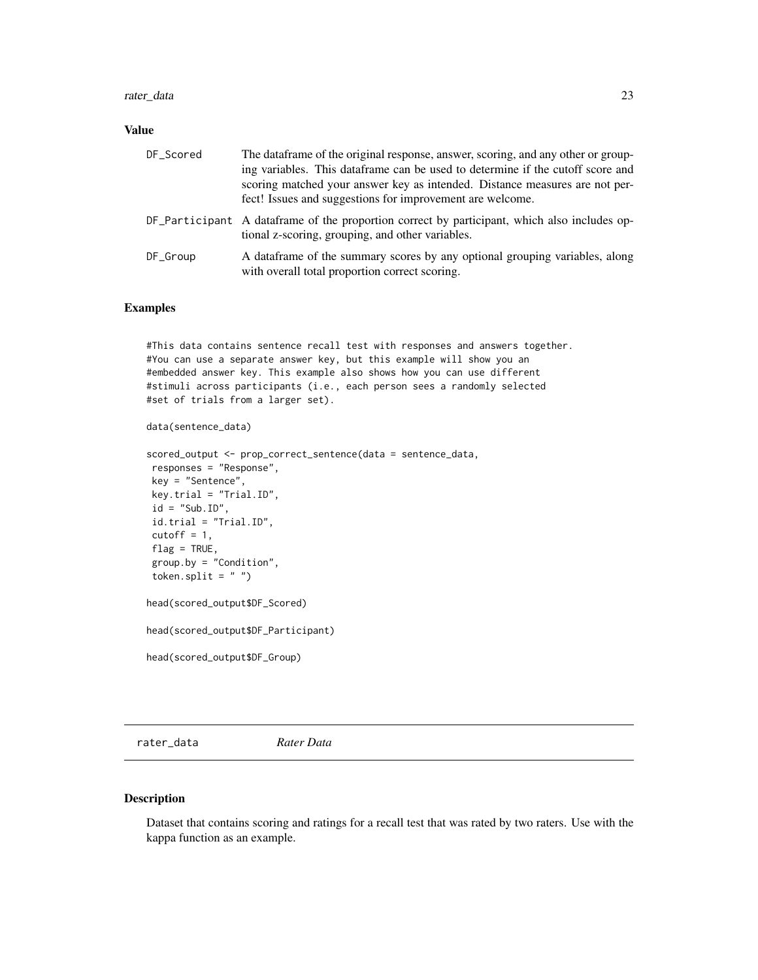#### <span id="page-22-0"></span>rater\_data 23

#### Value

| DF_Scored | The dataframe of the original response, answer, scoring, and any other or group-<br>ing variables. This dataframe can be used to determine if the cutoff score and<br>scoring matched your answer key as intended. Distance measures are not per-<br>fect! Issues and suggestions for improvement are welcome. |
|-----------|----------------------------------------------------------------------------------------------------------------------------------------------------------------------------------------------------------------------------------------------------------------------------------------------------------------|
|           | DF_Participant A dataframe of the proportion correct by participant, which also includes op-<br>tional z-scoring, grouping, and other variables.                                                                                                                                                               |
| DF_Group  | A data frame of the summary scores by any optional grouping variables, along<br>with overall total proportion correct scoring.                                                                                                                                                                                 |

# Examples

```
#This data contains sentence recall test with responses and answers together.
#You can use a separate answer key, but this example will show you an
#embedded answer key. This example also shows how you can use different
#stimuli across participants (i.e., each person sees a randomly selected
#set of trials from a larger set).
data(sentence_data)
scored_output <- prop_correct_sentence(data = sentence_data,
responses = "Response",
key = "Sentence",
key.trial = "Trial.ID",
id = "Sub.ID",id.trial = "Trial.ID",
cutoff = 1,
flag = TRUE,group.by = "Condition",
token.split = ")
head(scored_output$DF_Scored)
head(scored_output$DF_Participant)
head(scored_output$DF_Group)
```
rater\_data *Rater Data*

#### Description

Dataset that contains scoring and ratings for a recall test that was rated by two raters. Use with the kappa function as an example.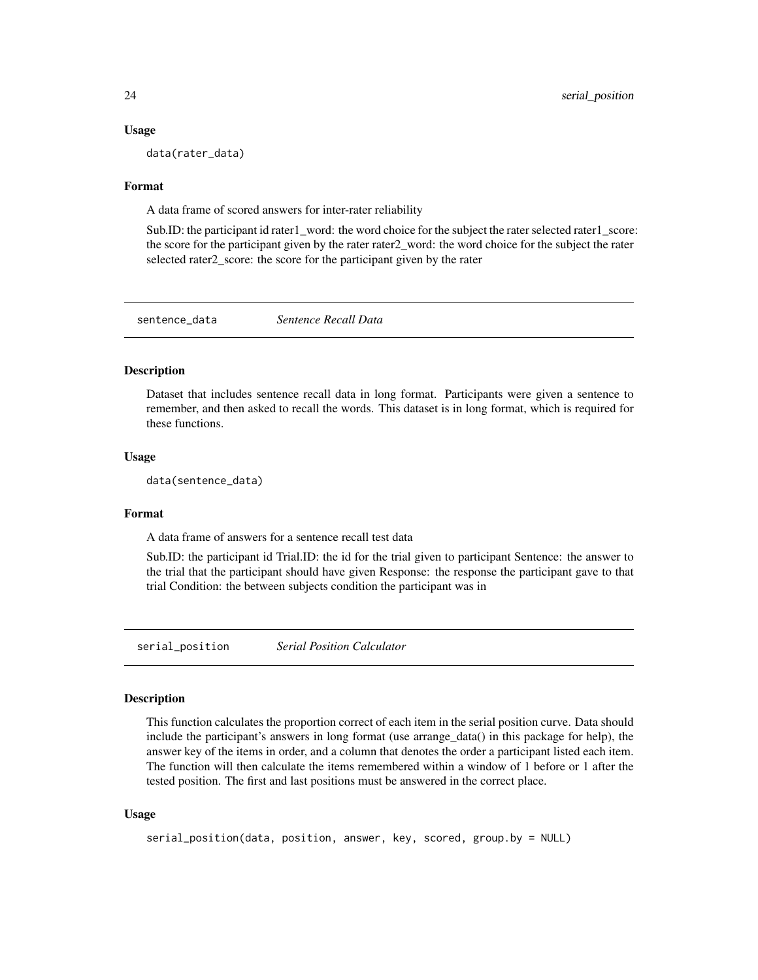#### Usage

data(rater\_data)

#### Format

A data frame of scored answers for inter-rater reliability

Sub.ID: the participant id rater1\_word: the word choice for the subject the rater selected rater1\_score: the score for the participant given by the rater rater2\_word: the word choice for the subject the rater selected rater2\_score: the score for the participant given by the rater

sentence\_data *Sentence Recall Data*

#### Description

Dataset that includes sentence recall data in long format. Participants were given a sentence to remember, and then asked to recall the words. This dataset is in long format, which is required for these functions.

#### Usage

```
data(sentence_data)
```
#### Format

A data frame of answers for a sentence recall test data

Sub.ID: the participant id Trial.ID: the id for the trial given to participant Sentence: the answer to the trial that the participant should have given Response: the response the participant gave to that trial Condition: the between subjects condition the participant was in

serial\_position *Serial Position Calculator*

#### Description

This function calculates the proportion correct of each item in the serial position curve. Data should include the participant's answers in long format (use arrange\_data() in this package for help), the answer key of the items in order, and a column that denotes the order a participant listed each item. The function will then calculate the items remembered within a window of 1 before or 1 after the tested position. The first and last positions must be answered in the correct place.

#### Usage

```
serial_position(data, position, answer, key, scored, group.by = NULL)
```
<span id="page-23-0"></span>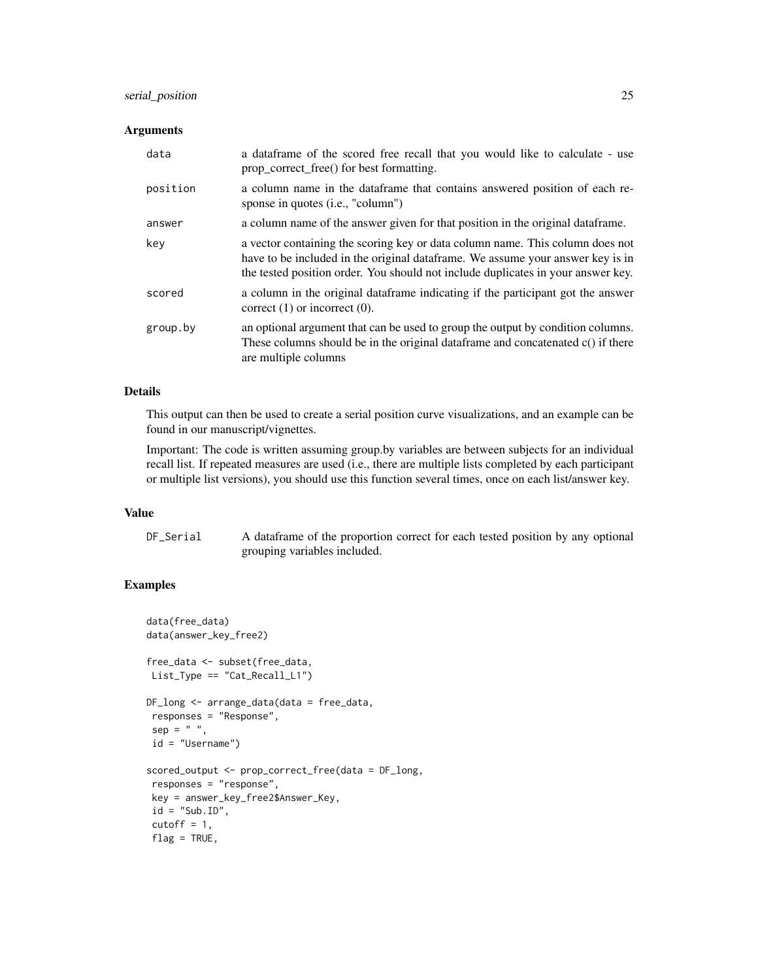# serial\_position 25

# Arguments

| data     | a dataframe of the scored free recall that you would like to calculate - use<br>prop_correct_free() for best formatting.                                                                                                                            |
|----------|-----------------------------------------------------------------------------------------------------------------------------------------------------------------------------------------------------------------------------------------------------|
| position | a column name in the data frame that contains answered position of each re-<br>sponse in quotes ( <i>i.e.</i> , "column")                                                                                                                           |
| answer   | a column name of the answer given for that position in the original data frame.                                                                                                                                                                     |
| key      | a vector containing the scoring key or data column name. This column does not<br>have to be included in the original dataframe. We assume your answer key is in<br>the tested position order. You should not include duplicates in your answer key. |
| scored   | a column in the original data frame indicating if the participant got the answer<br>correct $(1)$ or incorrect $(0)$ .                                                                                                                              |
| group.by | an optional argument that can be used to group the output by condition columns.<br>These columns should be in the original data frame and concatenated $c()$ if there<br>are multiple columns                                                       |

# Details

This output can then be used to create a serial position curve visualizations, and an example can be found in our manuscript/vignettes.

Important: The code is written assuming group.by variables are between subjects for an individual recall list. If repeated measures are used (i.e., there are multiple lists completed by each participant or multiple list versions), you should use this function several times, once on each list/answer key.

#### Value

| DF Serial | A data frame of the proportion correct for each tested position by any optional |
|-----------|---------------------------------------------------------------------------------|
|           | grouping variables included.                                                    |

# Examples

```
data(free_data)
data(answer_key_free2)
free_data <- subset(free_data,
List_Type == "Cat_Recall_L1")
DF_long <- arrange_data(data = free_data,
responses = "Response",
sep = " " "id = "Username")
scored_output <- prop_correct_free(data = DF_long,
responses = "response",
key = answer_key_free2$Answer_Key,
id = "Sub.ID",cutoff = 1,flag = TRUE,
```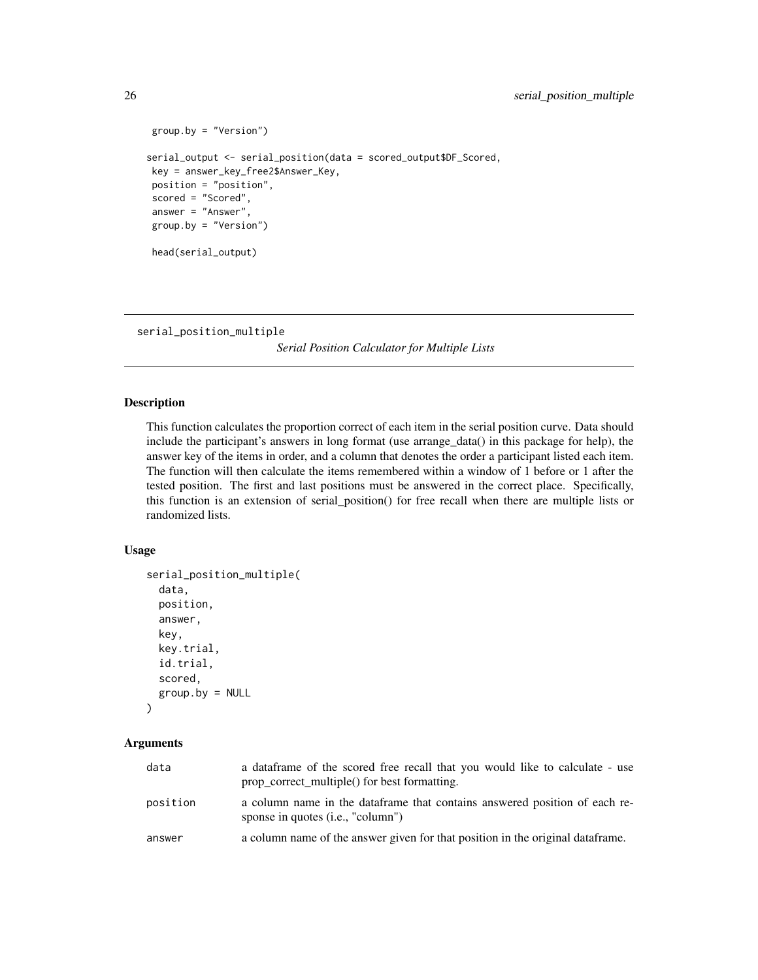```
group.by = "Version")
serial_output <- serial_position(data = scored_output$DF_Scored,
key = answer_key_free2$Answer_Key,
position = "position",
scored = "Scored",
answer = "Answer",
group.by = "Version")
head(serial_output)
```
serial\_position\_multiple

*Serial Position Calculator for Multiple Lists*

# Description

This function calculates the proportion correct of each item in the serial position curve. Data should include the participant's answers in long format (use arrange\_data() in this package for help), the answer key of the items in order, and a column that denotes the order a participant listed each item. The function will then calculate the items remembered within a window of 1 before or 1 after the tested position. The first and last positions must be answered in the correct place. Specifically, this function is an extension of serial\_position() for free recall when there are multiple lists or randomized lists.

# Usage

```
serial_position_multiple(
  data,
 position,
  answer,
  key,
 key.trial,
  id.trial,
  scored,
  group.py = NULL)
```
# Arguments

| data     | a data frame of the scored free recall that you would like to calculate - use<br>prop correct multiple() for best formatting. |
|----------|-------------------------------------------------------------------------------------------------------------------------------|
| position | a column name in the data frame that contains answered position of each re-<br>sponse in quotes (i.e., "column")              |
| answer   | a column name of the answer given for that position in the original data frame.                                               |

<span id="page-25-0"></span>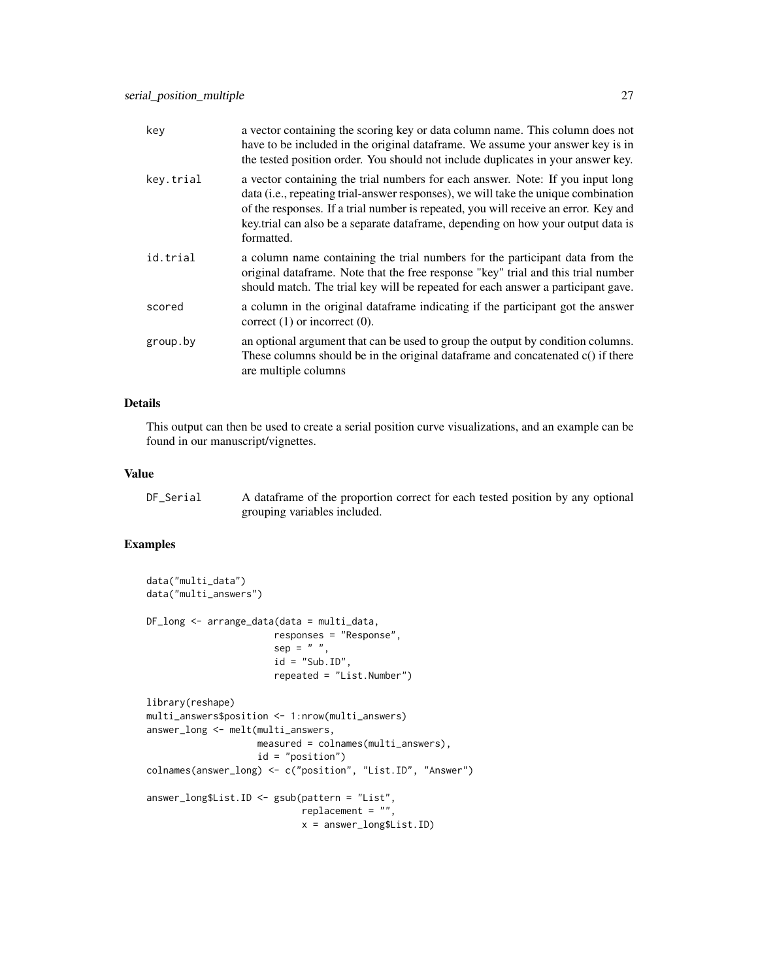| key       | a vector containing the scoring key or data column name. This column does not<br>have to be included in the original dataframe. We assume your answer key is in<br>the tested position order. You should not include duplicates in your answer key.                                                                                                                    |
|-----------|------------------------------------------------------------------------------------------------------------------------------------------------------------------------------------------------------------------------------------------------------------------------------------------------------------------------------------------------------------------------|
| key.trial | a vector containing the trial numbers for each answer. Note: If you input long<br>data ( <i>i.e.</i> , repeating trial-answer responses), we will take the unique combination<br>of the responses. If a trial number is repeated, you will receive an error. Key and<br>key.trial can also be a separate dataframe, depending on how your output data is<br>formatted. |
| id.trial  | a column name containing the trial numbers for the participant data from the<br>original dataframe. Note that the free response "key" trial and this trial number<br>should match. The trial key will be repeated for each answer a participant gave.                                                                                                                  |
| scored    | a column in the original data frame indicating if the participant got the answer<br>correct $(1)$ or incorrect $(0)$ .                                                                                                                                                                                                                                                 |
| group.by  | an optional argument that can be used to group the output by condition columns.<br>These columns should be in the original data frame and concatenated $c()$ if there<br>are multiple columns                                                                                                                                                                          |
|           |                                                                                                                                                                                                                                                                                                                                                                        |

# Details

This output can then be used to create a serial position curve visualizations, and an example can be found in our manuscript/vignettes.

#### Value

| DF Serial | A dataframe of the proportion correct for each tested position by any optional |
|-----------|--------------------------------------------------------------------------------|
|           | grouping variables included.                                                   |

# Examples

```
data("multi_data")
data("multi_answers")
DF_long <- arrange_data(data = multi_data,
                      responses = "Response",
                       sep = " " "id = "Sub.ID",repeated = "List.Number")
library(reshape)
multi_answers$position <- 1:nrow(multi_answers)
answer_long <- melt(multi_answers,
                   measured = colnames(multi_answers),
                    id = "position")
colnames(answer_long) <- c("position", "List.ID", "Answer")
answer_long$List.ID <- gsub(pattern = "List",
                            replacement = ",
                            x = answer_long$List.ID)
```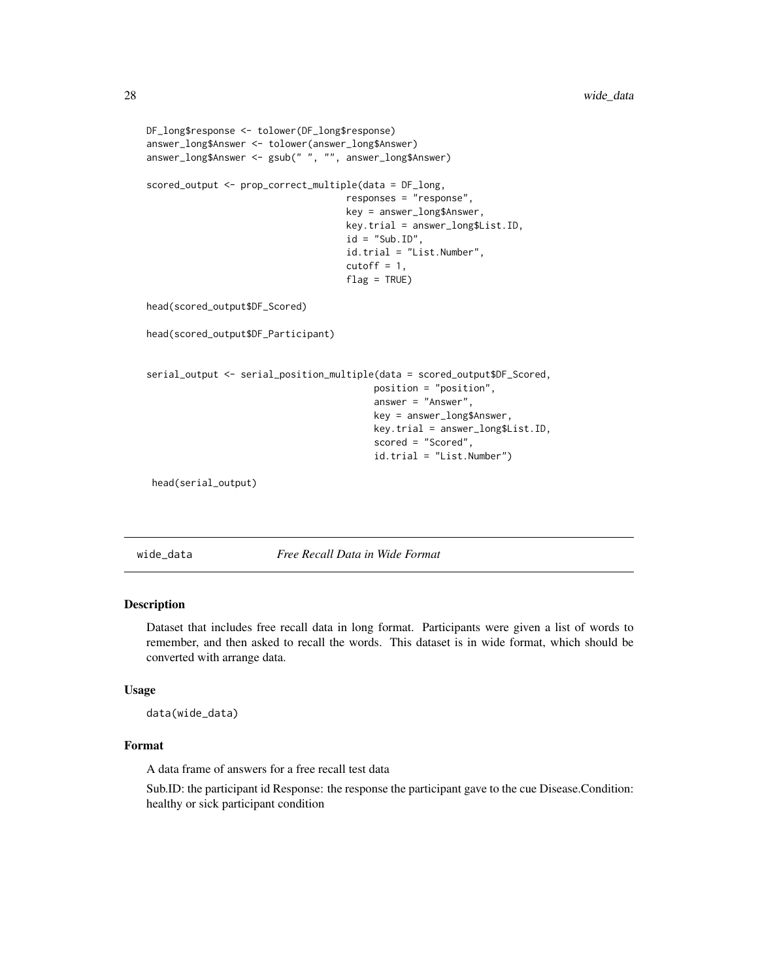```
DF_long$response <- tolower(DF_long$response)
answer_long$Answer <- tolower(answer_long$Answer)
answer_long$Answer <- gsub(" ", "", answer_long$Answer)
scored_output <- prop_correct_multiple(data = DF_long,
                                    responses = "response",
                                    key = answer_long$Answer,
                                    key.trial = answer_long$List.ID,
                                    id = "Sub.ID".id.trial = "List.Number",
                                    cutoff = 1,
                                    flag = TRUE)
head(scored_output$DF_Scored)
head(scored_output$DF_Participant)
serial_output <- serial_position_multiple(data = scored_output$DF_Scored,
                                         position = "position",
                                         answer = "Answer",
                                         key = answer_long$Answer,
                                         key.trial = answer_long$List.ID,
                                         scored = "Scored",
                                         id.trial = "List.Number")
 head(serial_output)
```
wide\_data *Free Recall Data in Wide Format*

# Description

Dataset that includes free recall data in long format. Participants were given a list of words to remember, and then asked to recall the words. This dataset is in wide format, which should be converted with arrange data.

### Usage

```
data(wide_data)
```
# Format

A data frame of answers for a free recall test data

Sub.ID: the participant id Response: the response the participant gave to the cue Disease.Condition: healthy or sick participant condition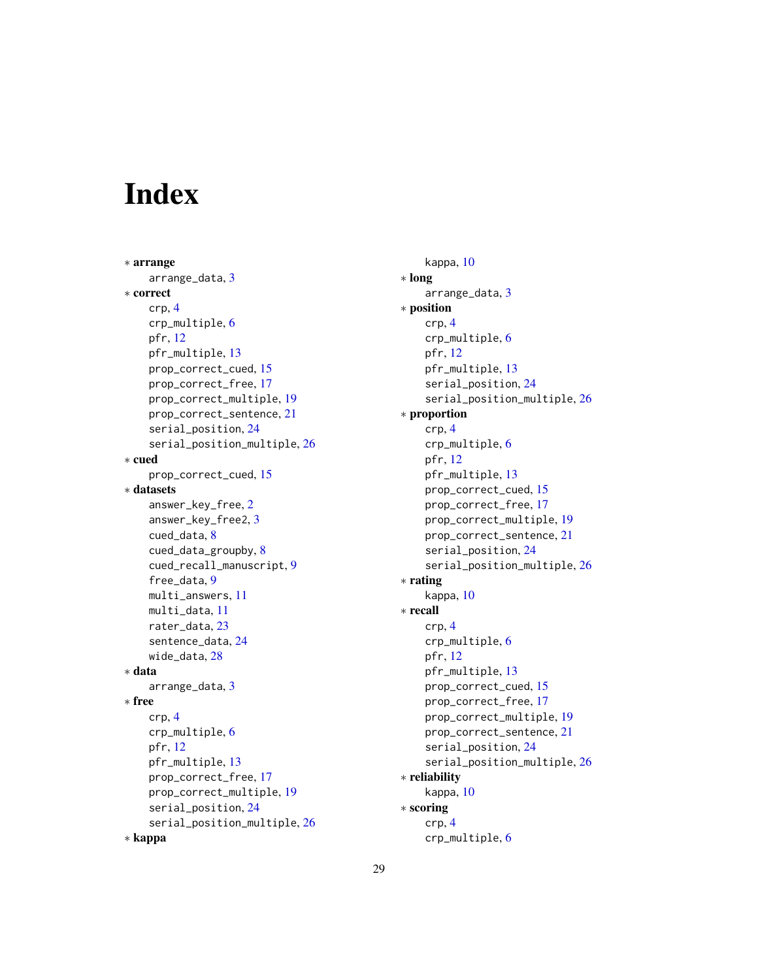# <span id="page-28-0"></span>**Index**

```
∗ arrange
    arrange_data, 3
∗ correct
    crp, 4
    crp_multiple, 6
    pfr, 12
    pfr_multiple, 13
    prop_correct_cued, 15
    prop_correct_free, 17
    prop_correct_multiple, 19
    prop_correct_sentence, 21
    serial_position, 24
    serial_position_multiple, 26
∗ cued
    prop_correct_cued, 15
∗ datasets
    answer_key_free, 2
    answer_key_free2, 3
    cued_data, 8
    cued_data_groupby, 8
    cued_recall_manuscript, 9
    9
    multi_answers, 11
    multi_data, 11
    rater_data, 23
    sentence_data, 24
    wide_data, 28
∗ data
    arrange_data, 3
∗ free
    crp, 4
    crp_multiple, 6
    pfr, 12
    pfr_multiple, 13
    prop_correct_free, 17
    prop_correct_multiple, 19
    serial_position, 24
    serial_position_multiple, 26
∗ kappa
```
kappa, [10](#page-9-0) ∗ long arrange\_data, [3](#page-2-0) ∗ position crp, [4](#page-3-0) crp\_multiple, [6](#page-5-0) pfr, [12](#page-11-0) pfr\_multiple, [13](#page-12-0) serial\_position, [24](#page-23-0) serial\_position\_multiple, [26](#page-25-0) ∗ proportion crp, [4](#page-3-0) crp\_multiple, [6](#page-5-0) pfr, [12](#page-11-0) pfr\_multiple, [13](#page-12-0) prop\_correct\_cued, [15](#page-14-0) prop\_correct\_free, [17](#page-16-0) prop\_correct\_multiple, [19](#page-18-0) prop\_correct\_sentence, [21](#page-20-0) serial\_position, [24](#page-23-0) serial\_position\_multiple, [26](#page-25-0) ∗ rating kappa, [10](#page-9-0) ∗ recall crp, [4](#page-3-0) crp\_multiple, [6](#page-5-0) pfr, [12](#page-11-0) pfr\_multiple, [13](#page-12-0) prop\_correct\_cued, [15](#page-14-0) prop\_correct\_free, [17](#page-16-0) prop\_correct\_multiple, [19](#page-18-0) prop\_correct\_sentence, [21](#page-20-0) serial\_position, [24](#page-23-0) serial\_position\_multiple, [26](#page-25-0) ∗ reliability kappa, [10](#page-9-0) ∗ scoring crp, [4](#page-3-0) crp\_multiple, [6](#page-5-0)